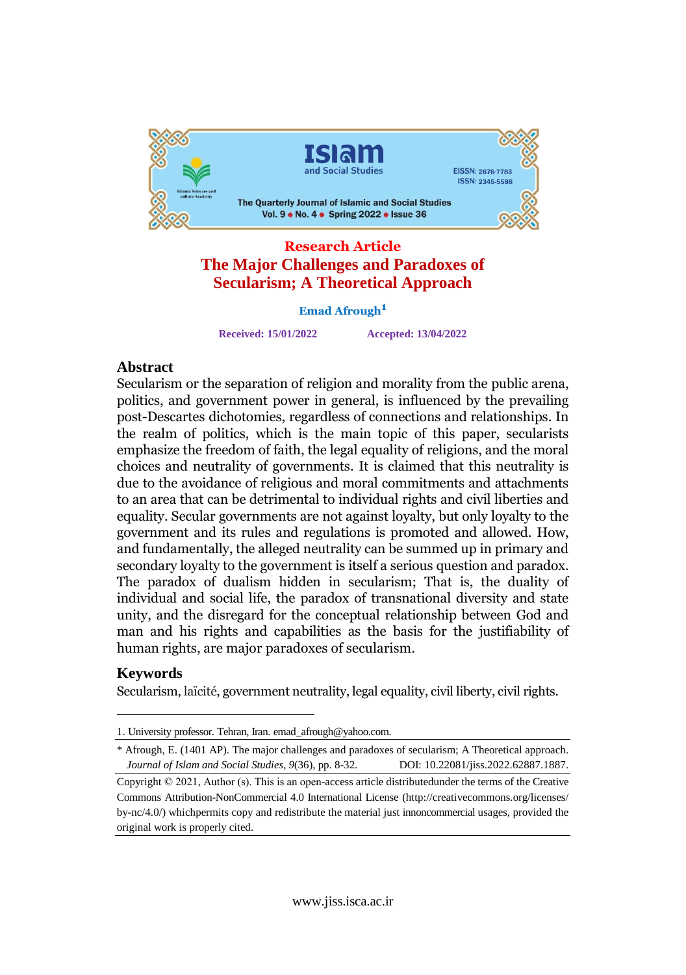

# **The Major Challenges and Paradoxes of Secularism; A Theoretical Approach**

**Emad Afrough**

**Received: 15/01/2022 Accepted: 13/04/2022**

#### Abstract

Secularism or the separation of religion and morality from the public arena, Secularism or the separation of religion and morality from the public arena,<br>politics, and government power in general, is influenced by the prevailing politics, and government power in general, is influenced by the prevailing<br>post-Descartes dichotomies, regardless of connections and relationships. In post-Descartes dichotomies, regardless of connections and relationships. In<br>the realm of politics, which is the main topic of this paper, secularists the realm of politics, which is the main topic of this paper, secularists<br>emphasize the freedom of faith, the legal equality of religions, and the moral emphasize the freedom of faith, the legal equality of religions, and the moral<br>choices and neutrality of governments. It is claimed that this neutrality is choices and neutrality of governments. It is claimed that this neutrality is<br>due to the avoidance of religious and moral commitments and attachments due to the avoidance of religious and moral commitments and attachments<br>to an area that can be detrimental to individual rights and civil liberties and to an area that can be detrimental to individual rights and civil liberties and<br>equality. Secular governments are not against loyalty, but only loyalty to the government and its rules and regulations is promoted and allowed. How, government and its rules and regulations is promoted and allowed. How,<br>and fundamentally, the alleged neutrality can be summed up in primary and secondary loyalty to the government is itself a serious question and paradox. secondary loyalty to the government is itself a serious question and paradox.<br>The paradox of dualism hidden in secularism; That is, the duality of The paradox of dualism hidden in secularism; That is, the duality of<br>individual and social life, the paradox of transnational diversity and state individual and social life, the paradox of transnational diversity and state<br>unity, and the disregard for the conceptual relationship between God and unity, and the disregard for the conceptual relationship between God and<br>man and his rights and capabilities as the basis for the justifiability of human rights, are major paradoxes of secularism.

#### Keywords

Secularism, laïcité, government neutrality, legal equality, civil liberty, civil rights.

<sup>1.</sup> University professor. Tehran, Iran. [emad\\_afrough@yahoo.com.](mailto:emad_afrough@yahoo.com.)

<sup>\*</sup> Afrough, E. (1401 AP). The major challenges and paradoxes of secularism; A Theoretical approach. *Journal of Islam andSocial Studies, 9*(36), pp. 8-32. DOI: 10.22081/jiss.2022.62887.1887.

Copyright © 2021, Author (s). This is an open-access article distributedunder the terms of the Creative Commons Attribution-NonCommercial 4.0 International License (http://creativecommons.org/licenses/ by-nc/4.0/) whichpermits copy and redistribute the material just innoncommercial usages, provided the original work is properly cited.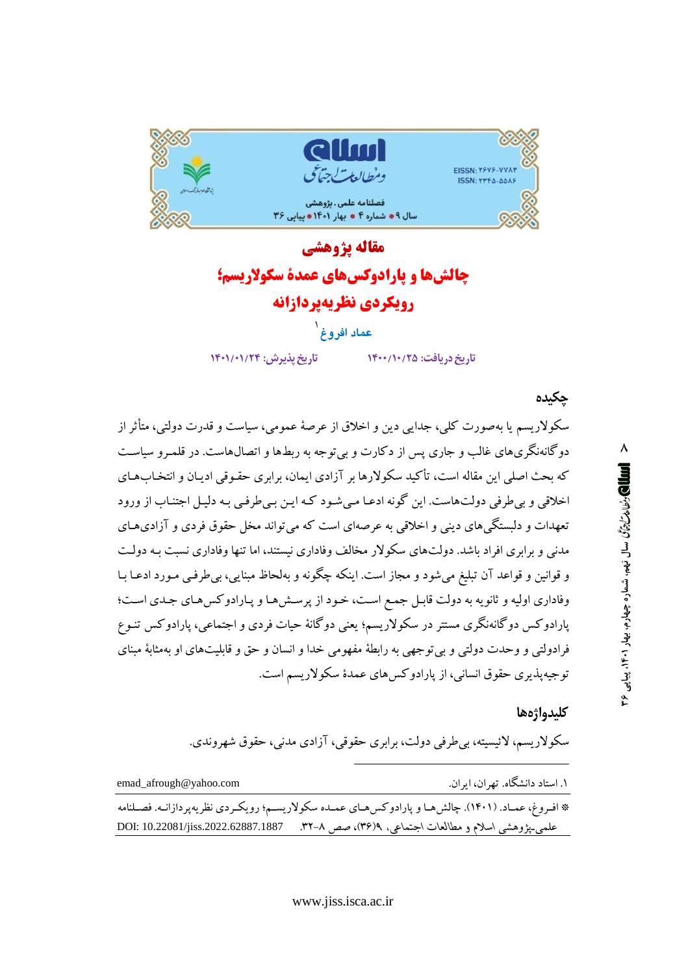

## مقاله يژوهشي چالش ها و پارادوکس های عمدة سکولاریسم؛ رويكردي نظريهيردازانه

### عماد افروغ<sup>\</sup>

تاريخ يذيرش: ١٣٠١/٠١/٢٣

تاریخ دریافت: ۱۴۰۰/۱۰/۲۵

جكىدە

سکولاریسم یا بهصورت کلی، جدایی دین و اخلاق از عرصهٔ عمومی، سیاست و قدرت دولتی، متأثر از دوگانهنگریهای غالب و جاری پس از دکارت و بی توجه به ربطها و اتصالهاست. در قلمـرو سیاسـت که بحث اصلی این مقاله است، تأکید سکولارها بر آزادی ایمان، برابری حقـوقی ادیـان و انتخـابهـای اخلاقی و بی طرفی دولتهاست. این گونه ادعـا مـی شـود کـه ایـن بـی طرفـی بـه دلیـل اجتنـاب از ورود تعهدات و دلبستگی های دینی و اخلاقی به عرصهای است که می تواند مخل حقوق فردی و آزادی هـای مدنی و برابری افراد باشد. دولتهای سکولار مخالف وفاداری نیستند، اما تنها وفاداری نسبت بـه دولـت و قوانین و قواعد آن تبلیغ میشود و مجاز است. اینکه چگونه و بهلحاظ مبنایی، بی طرفـی مـورد ادعـا بـا وفاداري اوليه و ثانويه به دولت قابل جمع است، خود از پرسش هـا و پـارادوكس هـاي جـدي اسـت؛ پارادوکس دوگانهنگری مستتر در سکولاریسم؛ یعنی دوگانهٔ حیات فردی و اجتماعی، پارادوکس تنـوع فرادولتي و وحدت دولتي و بي توجهي به رابطهٔ مفهومي خدا و انسان و حق و قابليتهاي او بهمثابهٔ مبناي توجیهپذیری حقوق انسانی، از پارادوکسهای عمدهٔ سکولاریسم است.

#### كليدواژهها

سکولاريسم، لائيسيته، بي طرفي دولت، برابري حقوقي، آزادي مدني، حقوق شهروندي.

| emad_afrough@yahoo.com | ۱. استاد دانشگاه. تهران، ايران.                                                                       |
|------------------------|-------------------------------------------------------------------------------------------------------|
|                        | * افـروغ، عمـاد. (۱۴۰۱). چالش هـا و پارادوكس هـاي عمـده سكولاريسـم؛ رويكـردي نظريهپردازانـه. فصـلنامه |
|                        | علمي ينزوهشي اسلام و مطالعات اجتماعي، ٣(٣۶)، صص ٨–٣.       7887.1887 .10.22081/jiss.2022.62887.1887   |

٨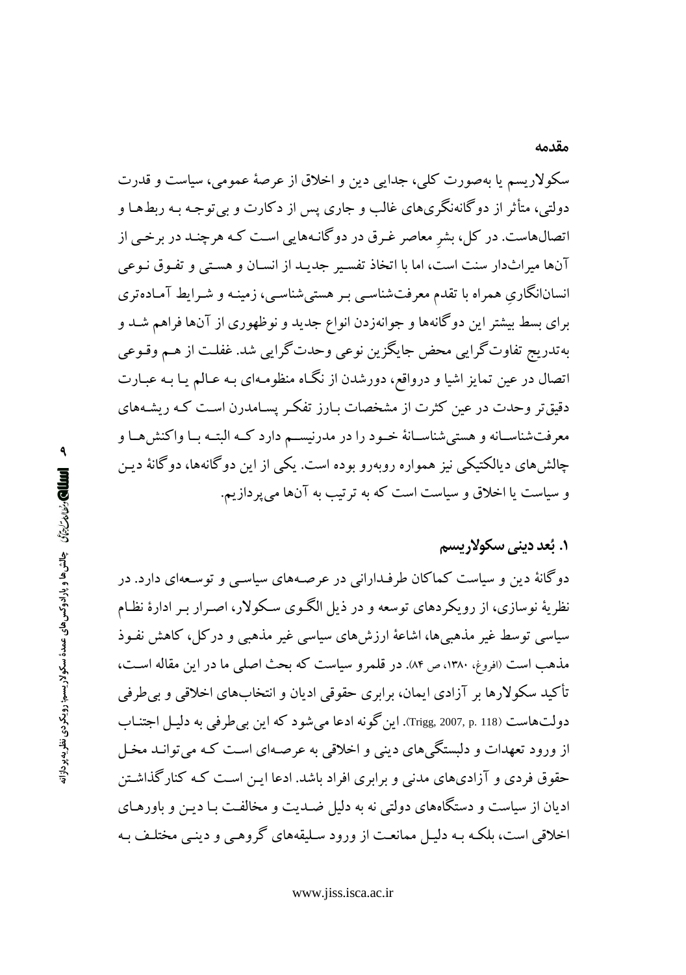سکولار بسم یا پهصورت کلی، جدایی دین و اخلاقی از عرصهٔ عمومی، سیاست و قدرت دولتی، متأثر از دوگانهنگریهای غالب و جاری پس از دکارت و بی توجه بـه ربطهـا و اتصالهاست. در کل، بشر معاصر غـرق در دوگانـههایی اسـت کـه هرچنـد در برخـی از آنها میراثدار سنت است، اما با اتخاذ تفسیر جدیـد از انسـان و هسـتی و تفـوق نـوعی انسانانگاری همراه با تقدم معرفتشناسبی بـر هستی شناسبی، زمینـه و شـرایط آمـادهتری برای بسط بیشتر این دوگانهها و جوانهزدن انواع جدید و نوظهوری از آنها فراهم شـد و به تدریج تفاوت گرایی محض جایگزین نوعی وحدت گرایی شد. غفلت از هـم وقـوعی اتصال در عین تمایز اشیا و درواقع، دورشدن از نگـاه منظومـهای بـه عـالـم یـا بـه عبـارت دقیقتر وحدت در عین کثرت از مشخصات بـارز تفکـر پسـامدرن اسـت کـه ریشـههای معرفتشناسـانه و هستي شناسـانهٔ خـود را در مدرنيســم دارد كــه البتــه بــا واكنش هــا و چالش های دیالکتیکی نیز همواره روبهرو بوده است. یکی از این دوگانهها، دوگانهٔ دیـن و سیاست یا اخلاق و سیاست است که به ترتیب به آنها می پر دازیم.

#### **۱. بُعد ديني سکولاريسم**

دوگانهٔ دین و سیاست کماکان طرفـدارانی در عرصـههای سیاسـی و توسـعهای دارد. در نظریهٔ نوسازی، از رویکردهای توسعه و در ذیل الگـوی سـکولار، اصـرار بـر ادارهٔ نظـام سیاسی توسط غیر مذهبیها، اشاعهٔ ارزشهای سیاسی غیر مذهبی و درکل، کاهش نفـوذ مذهب است (افروغ، ۱۳۸۰، ص ۸۴). در قلمرو سیاست که بحث اصلی ما در این مقاله است، تأکید سکولارها بر آزادی ایمان، برابری حقوقی ادیان و انتخابهای اخلاقی و بی طرفی دولتهاست (Trigg, 2007, p. 118). این گو نه ادعا می شو د که این بی طرفی به دلیل اجتنـاب از ورود تعهدات و دلبستگی های دینی و اخلاقی به عرصـهای اسـت کـه می توانـد مخـل حقوق فردی و آزادیهای مدنی و برابری افراد باشد. ادعا ایـن اسـت کـه کنار گذاشـتن ادیان از سیاست و دستگاههای دولتی نه به دلیل ضـدیت و مخالفـت بـا دیـن و باورهـای اخلاقی است، بلکـه بـه دلیـل ممانعـت از ورود سـلیقههای گروهـی و دینـی مختلـف بـه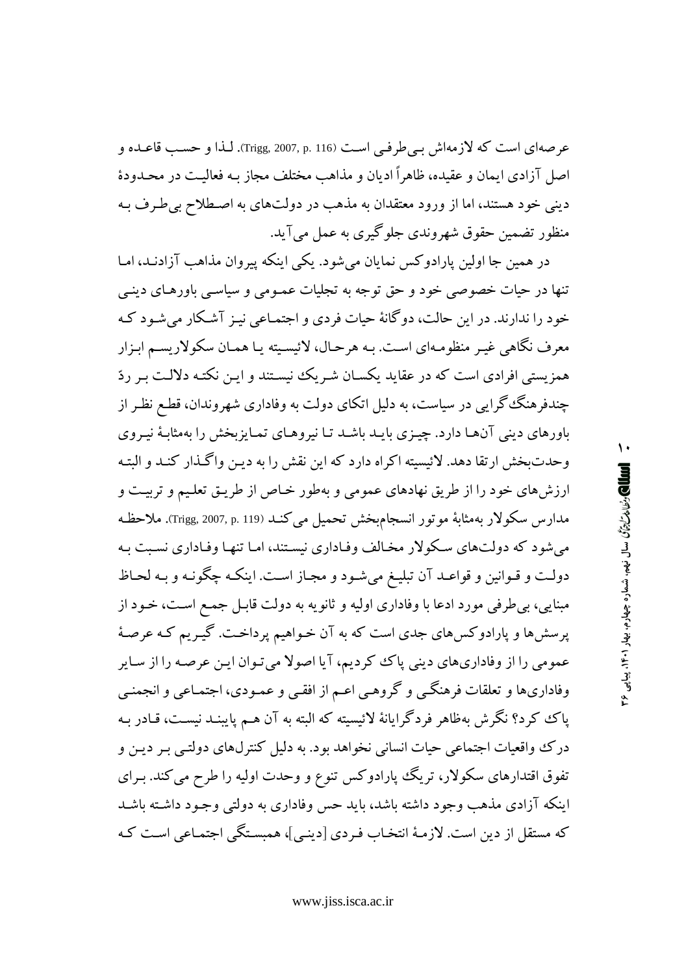عرصهاي است كه لازمهاش بـي طرفـي اسـت (Trigg, 2007, p. 116). لـذا و حسـب قاعـده و اصل آزادی ایمان و عقیده، ظاهراً ادیان و مذاهب مختلف مجاز بـه فعالیـت در محـدودهٔ دینی خود هستند، اما از ورود معتقدان به مذهب در دولتهای به اصطلاح بی طرف بـه منظور تضمین حقوق شهروندی جلوگیری به عمل میآید.

در همین جا اولین پارادوکس نمایان میشود. یکی اینکه پیروان مذاهب آزادنـد، امـا تنها در حیات خصوصی خود و حق توجه به تجلیات عمـومی و سیاسـی باورهـای دینـی خود را ندارند. در این حالت، دوگانهٔ حیات فردی و اجتمـاعی نیـز آشـکار می شـود کـه معرف نگاهي غيـر منظومـهاي اسـت. بـه هرحـال، لائيسـيته يـا همـان سكولاريسـم ابـزار همزیستی افرادی است که در عقاید یکسان شـریک نیسـتند و ایـن نکتـه دلالـت بـر ردّ چندفرهنگ گرایی در سیاست، به دلیل اتکای دولت به وفاداری شهروندان، قطع نظر از باورهای دینی آنها دارد. چیزی بایـد باشـد تـا نیروهـای تمـایزبخش را بهمثابـهٔ نیـروی وحدت يخش ارتقا دهد. لائيسيته اكراه دارد كه اين نقش را به دين واگـذار كنـد و البتـه ارزشهای خود را از طریق نهادهای عمومی و بهطور خـاص از طریـق تعلیـم و تربیـت و مدارس سكولار بهمثابهٔ موتور انسجامبخش تحميل مي كنـد (Trigg, 2007, p. 119). ملاحظـه می شود که دولتهای سکولار مخالف وفـاداری نیسـتند، امـا تنهـا وفـاداری نسـبت بـه دولت و قـوانين و قواعـد آن تبليـغ مي شـود و مجـاز اسـت. اينكـه چگونـه و بـه لحـاظ مبنايي، بي طرفي مورد ادعا با وفاداري اوليه و ثانويه به دولت قابـل جمـع اسـت، خـود از پرسشها و پارادوکسهای جدی است که به آن خـواهیم پرداخـت. گیـریم کـه عرصـهٔ عمومی را از وفاداریهای دینی پاک کردیم، آیا اصولا میتوان این عرصه را از سایر وفاداريها و تعلقات فرهنگي و گروهي اعـم از افقـي و عمـودي، اجتمـاعي و انجمنـي پاک کرد؟ نگرش بهظاهر فردگرایانهٔ لائیسیته که البته به آن هـم پایبنـد نیسـت، قـادر بـه درک واقعیات اجتماعی حیات انسانی نخواهد بود. به دلیل کنترلهای دولتبی بـر دیـن و تفوق اقتدارهای سکولار، تریگ پارادوکس تنوع و وحدت اولیه را طرح می کند. بـرای اینکه آزادی مذهب وجود داشته باشد، باید حس وفاداری به دولتی وجـود داشـته باشـد كه مستقل از دين است. لازمـهٔ انتخـاب فـردي [دينـي]، همبسـتگي اجتمـاعي اسـت كـه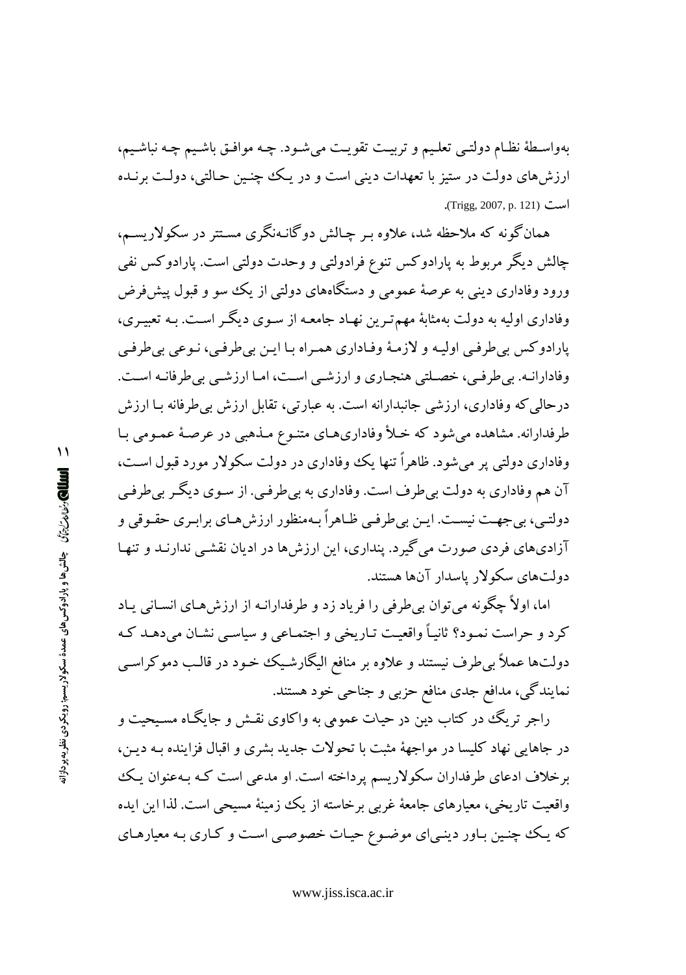بهواسـطهٔ نظـام دولتـي تعلـيم و تربيـت تقويـت ميشـود. چـه موافـق باشـيـم چـه نباشـيـم، ارزش های دولت در ستیز با تعهدات دینی است و در یک چنین حـالتی، دولـت برنـده است (Trigg, 2007, p. 121).

همانگونه که ملاحظه شد، علاوه بـر چـالش دوگانـهنگری مسـتتر در سکولاریسـم، چالش دیگر مربوط به پارادوکس تنوع فرادولتی و وحدت دولتی است. پارادوکس نفی ورود وفاداری دینی به عرصهٔ عمومی و دستگاههای دولتی از یک سو و قبول پیش فرض وفاداری اولیه به دولت بهمثابهٔ مهم تـرین نهـاد جامعـه از سـوی دیگـر اسـت. بـه تعبیـری، پارادوکس بي طرفيي اوليـه و لازمـهٔ وفـاداري همـراه بـا ايـن بي طرفـي، نـوعي بي طرفـي وفادارانـه. بي طرفـي، خصـلتي هنجـاري و ارزشـي اسـت، امـا ارزشـي بي طرفانـه اسـت. درحالي كه وفاداري، ارزشي جانبدارانه است. به عبارتي، تقابل ارزش بي طرفانه بـا ارزش طرفدارانه. مشاهده می شود که خـلأ وفاداریهـای متنـوع مـذهبی در عرصـهٔ عمـومی بـا وفاداری دولتی پر می شود. ظاهراً تنها یک وفاداری در دولت سکولار مورد قبول است، آن هم وفاداري به دولت بي طرف است. وفاداري به بي طرفي. از سـوي ديگـر بي طرفـي دولتبي، ٻي جهت نيست. ايـن ٻي طرفـي ظـاهراً بـهمنظور ارزش هـاي برابـري حقـوقي و آزادیهای فردی صورت می گیرد. پنداری، این ارزشها در ادیان نقشی ندارنـد و تنهـا دولتهای سکولار پاسدار آنها هستند.

اما، اولاً چگونه می توان بی طرفی را فریاد زد و طرفدارانـه از ارزش۵هـای انسـانی پـاد کرد و حراست نمـود؟ ثانيـاً واقعيـت تـاريخي و اجتمـاعي و سياسـي نشـان مي دهـد کـه دولتها عملاً بی طرف نیستند و علاوه بر منافع الیگارشیک خود در قالب دموکراسی نمایندگی، مدافع جدی منافع حزبی و جناحی خود هستند.

راجر تریگ در کتاب دین در حیات عمومی به واکاوی نقـش و جایگـاه مسـیحیت و در جاهایی نهاد کلیسا در مواجههٔ مثبت با تحولات جدید بشری و اقبال فزاینده بـه دیـن، برخلاف ادعای طرفداران سکولاریسم پرداخته است. او مدعی است کـه بـهعنوان یـک واقعیت تاریخی، معیارهای جامعهٔ غربی برخاسته از یک زمینهٔ مسیحی است. لذا این ایده که یک چنین باور دینبیای موضوع حیات خصوصبی است و کـاری بـه معیارهـای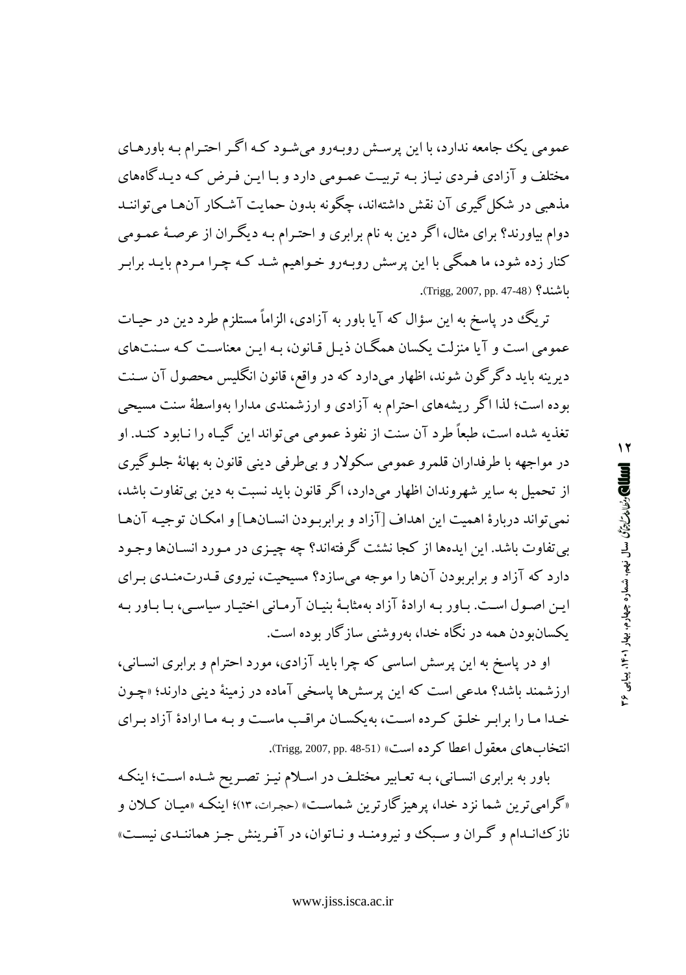عمومي يک جامعه ندارد، با اين پرسش روبـهرو مي شـود کـه اگـر احتـرام بـه باورهـاي مختلف و آزادی فردی نیاز به تربیت عمومی دارد و با این فرض که دیدگاههای مذهبی در شکل گیری آن نقش داشتهاند، چگونه پدون حمایت آشکار آنها می تواننید دوام بیاورند؟ برای مثال، اگر دین به نام برابری و احتـرام بـه دیگـران از عرصـهٔ عمـومی کنار زده شود، ما همگی با این پرسش روبـهرو خـواهیم شـد کـه چـرا مـردم بایـد برابـر اشند؟ (Trigg, 2007, pp. 47-48).

تریگ در پاسخ به این سؤال که آیا باور به آزادی، الزاماً مستلزم طرد دین در حیـات عمومی است و آیا منزلت یکسان همگـان ذیـل قـانون، بـه ایـن معناسـت کـه سـنتهای دیرینه باید دگرگون شوند، اظهار میدارد که در واقع، قانون انگلیس محصول آن سـنت بوده است؛ لذا اگر ریشههای احترام به آزادی و ارزشمندی مدارا بهواسطهٔ سنت مسیحی تغذیه شده است، طبعاً طرد آن سنت از نفوذ عمومی میتواند این گیـاه را نـابود کنـد. او در مواجهه با طرفداران قلمرو عمومي سکولار و بي طرفي ديني قانون به بهانهٔ جلـوگيري از تحمیل به سایر شهروندان اظهار میدارد، اگر قانون باید نسبت به دین بی تفاوت باشد، نمي تواند دربارهٔ اهميت اين اهداف [آزاد و برابربودن انسـانهـا] و امكـان توجيـه آنهـا بي تفاوت باشد. اين ايدهها از كجا نشئت گرفتهاند؟ چه چيـزي در مـو رد انســانها وجـود دارد که آزاد و برابربودن آنها را موجه میسازد؟ مسیحیت، نیروی قـدرتمنـدی بـرای ایـن اصـول اسـت. بـاور بـه ارادهٔ آزاد بهمثابـهٔ بنیـان آرمـانی اختیـار سیاسـی، بـا بـاور بـه یکسان و دن همه در نگاه خدا، بهروشنب سازگار بوده است.

او در پاسخ به این پرسش اساسی که چرا باید آزادی، مورد احترام و برابری انسـانی، ارزشمند باشد؟ مدعی است که این پرسشها پاسخی آماده در زمینهٔ دینی دارند؛ «چـون خدا ما را برابر خلق كرده است، به يكسان مراقب ماست و به ما ارادهٔ آزاد براي انتخاب هاي معقول اعطا كرده است» (Trigg, 2007, pp. 48-51).

باور به برابری انسـانی، بـه تعـابیر مختلـف در اسـلام نیـز تصـر یح شـده اسـت؛ اینکـه «گرامیترین شما نزد خدا، پرهیزگارترین شماست» (حجرات، ۱۳)؛ اینکه «میـان کـلان و نازک انـدام و گـران و سـبک و نيرومنـد و نـاتوان، در آفـرينش جـز هماننـدي نيسـت»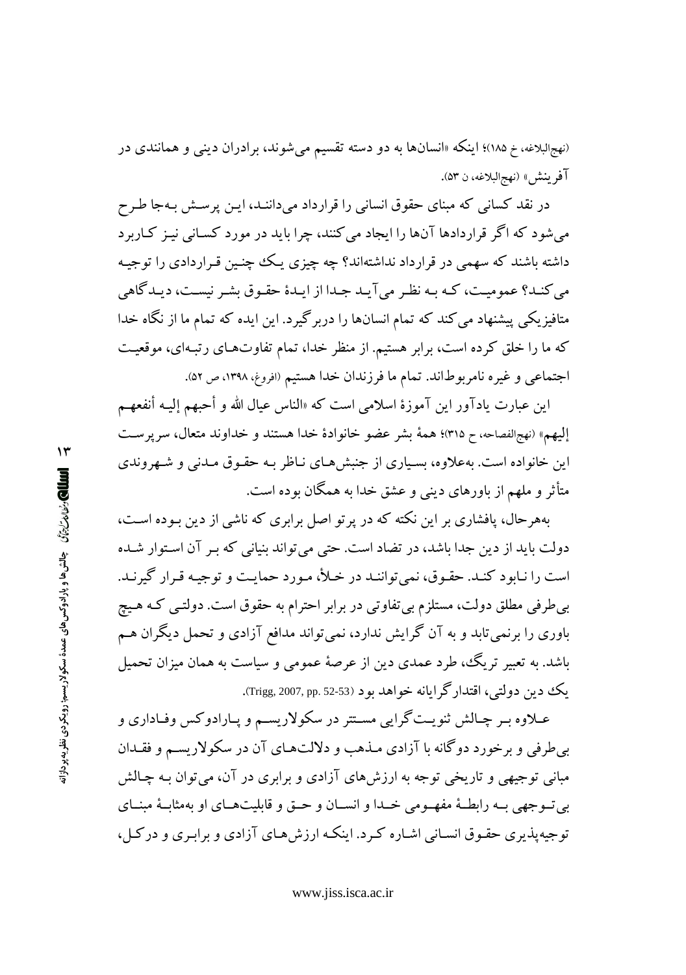(نهجالبلاغه، خ ۱۸۵)؛ اینکه «انسانها به دو دسته تقسیم میشوند، برادران دین<sub>ی</sub> و همانندی در آفر ينش» (نهجالبلاغه، ن ۵۳).

در نقد کسانی که مبنای حقوق انسانی را قرارداد میداننـد، ایـن پرسـش بـهجا طـرح می شود که اگر قراردادها آنها را ایجاد می کنند، چرا پاید در مورد کسانی نیز کیاربرد داشته باشند که سهمی در قرارداد نداشتهاند؟ چه چیزی یک چنبین قـراردادی را توجیـه مي كنـد؟ عموميـت، كـه بـه نظـر مي آيـد جـدا از ايـدۀ حقـوق بشـر نيسـت، ديـدگاهي متافیزیکی پیشنهاد می کند که تمام انسانها را دربرگیرد. این ایده که تمام ما از نگاه خدا که ما را خلق کرده است، برابر هستیم. از منظر خدا، تمام تفاوتهای رتبهای، موقعیت اجتماعی و غیره نامربوطاند. تمام ما فرزندان خدا هستیم (افروغ، ۱۳۹۸، ص ۵۲).

اين عبارت يادآور اين آموزهٔ اسلامي است كه «الناس عيال الله و أحبهم إليـه أنفعهـم إليهم» (نهجالفصاحه، ح ٣١٥)؛ همهٔ بشر عضو خانوادهٔ خدا هستند و خداوند متعال، سرپرست این خانواده است. بهعلاوه، بسیاری از جنبش هـای نـاظر بـه حقـوق مـدنی و شـهروندی متأثر و ملهم از باورهای دینی و عشق خدا به همگان بوده است.

بههرحال، پافشاری بر این نکته که در پرتو اصل برابری که ناشی از دین بـوده اسـت، دولت باید از دین جدا باشد، در تضاد است. حتی می تواند بنیانی که بـر آن اسـتوار شـده است را نـابود كنـد. حقـوق، نمى تواننـد در خـلأ، مـورد حمايـت و توجيـه قـرار گيرنـد. بی طرفی مطلق دولت، مستلزم بی تفاوتی در برابر احترام به حقوق است. دولتبی کـه هـیچ باوری را برنمیتابد و به آن گرایش ندارد، نمیتواند مدافع آزادی و تحمل دیگران هـم باشد. به تعبیر تریگ، طرد عمدی دین از عرصهٔ عمومی و سیاست به همان میزان تحمیل يک دين دولتي، اقتدار گرايانه خواهد بو د (52-52 .Trigg, 2007, pp.).

عـلاوه بـر چـالش ثنويـت گرايي مسـتتر در سكولاريسـم و يـارادوكس وفـاداري و بی طرفی و برخورد دوگانه با آزادی مـذهب و دلالتهـای آن در سکولاریسـم و فقـدان مباني توجيهي و تاريخي توجه به ارزشهاي آزادي و برابري در آن، مي توان بـه چـالش بي تبو جهي بـه رابطـهٔ مفهـومي خـدا و انســان و حــق و قابليتهــاي او بهمثابـهٔ مبنــاي توجیه پذیری حقـوق انسـانی اشـاره کـرد. اینکـه ارزش هـای آزادی و برابـری و درکـل،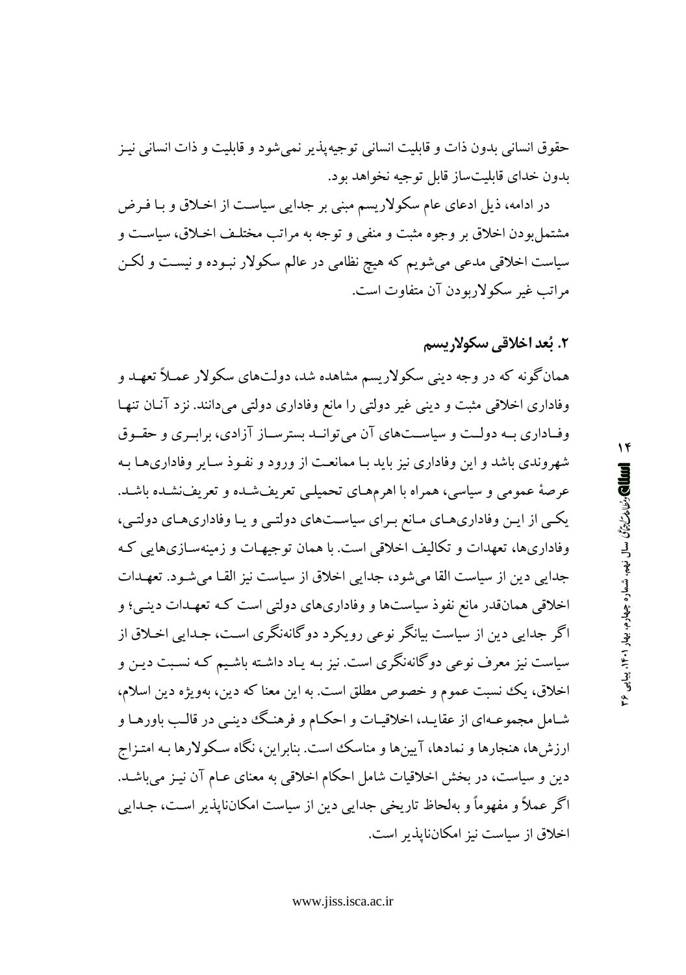حقوق انسانی بدون ذات و قابلیت انسانی توجیهپذیر نمیشود و قابلیت و ذات انسانی نیـز بدون خدای قابلیتساز قابل توجیه نخواهد بود.

در ادامه، ذیل ادعای عام سکولاریسم مبنی بر جدایی سیاست از اخلاق و بـا فـرض مشتمل بودن اخلاق بر وجوه مثبت و منفى و توجه به مراتب مختلـف اخـلاق، سياسـت و سیاست اخلاقی مدعی می شویم که هیچ نظامی در عالم سکولار نبـوده و نیسـت و لکـن مراتب غير سكولاريو دن آن متفاوت است.

#### ٢. بُعد اخلاقي سكولاريسم

همانگونه که در وجه دینی سکولاریسم مشاهده شد، دولتهای سکولار عمـلاً تعهـد و وفاداری اخلاقی مثبت و دینی غیر دولتی را مانع وفاداری دولتی میدانند. نزد آنان تنها وفـاداري بـه دولـت و سياسـتهاي آن مي توانــد بسترســاز آزادي، برابـري و حقــوق شهروندی باشد و این وفاداری نیز باید بـا ممانعـت از ورود و نفـوذ سـایر وفاداریهـا بـه عرصهٔ عمومی و سیاسی، همراه با اهرمهای تحمیلیی تعریفشده و تعریفنشده باشد. یکمی از این وفاداریهای مانع برای سیاستهای دولتبی و یا وفاداریهای دولتبی، وفاداریها، تعهدات و تکالیف اخلاقی است. با همان توجیهات و زمینهسـازیهایی کـه جدایی دین از سیاست القا می شود، جدایی اخلاق از سیاست نیز القـا می شـود. تعهـدات اخلاقی همانقدر مانع نفوذ سیاستها و وفاداریهای دولتی است کـه تعهـدات دینـی؛ و اگر جدایی دین از سیاست بیانگر نوعی رویکرد دوگانهنگری است، جـدایی اخـلاق از سیاست نیز معرف نوعی دوگانهنگری است. نیز بـه یـاد داشـته باشـیـم کـه نسـبت دیـن و اخلاق، يك نسبت عموم و خصوص مطلق است. به اين معنا كه دين، بهويژه دين اسلام، شـامل مجموعـهاي از عقايـد، اخلاقيـات و احكـام و فرهنـگ دينـي در قالـب باورهـا و ارزش ها، هنجارها و نمادها، آیین ها و مناسک است. بنابراین، نگاه سـکولارها بـه امتـزاج دین و سیاست، در بخش اخلاقیات شامل احکام اخلاقی به معنای عـام آن نیـز می،باشـد. اگر عملاً و مفهوماً و بهلحاظ تاریخی جدایی دین از سیاست امکان،ایذیر است، جـدایی اخلاق از سیاست نیز امکانناپذیر است.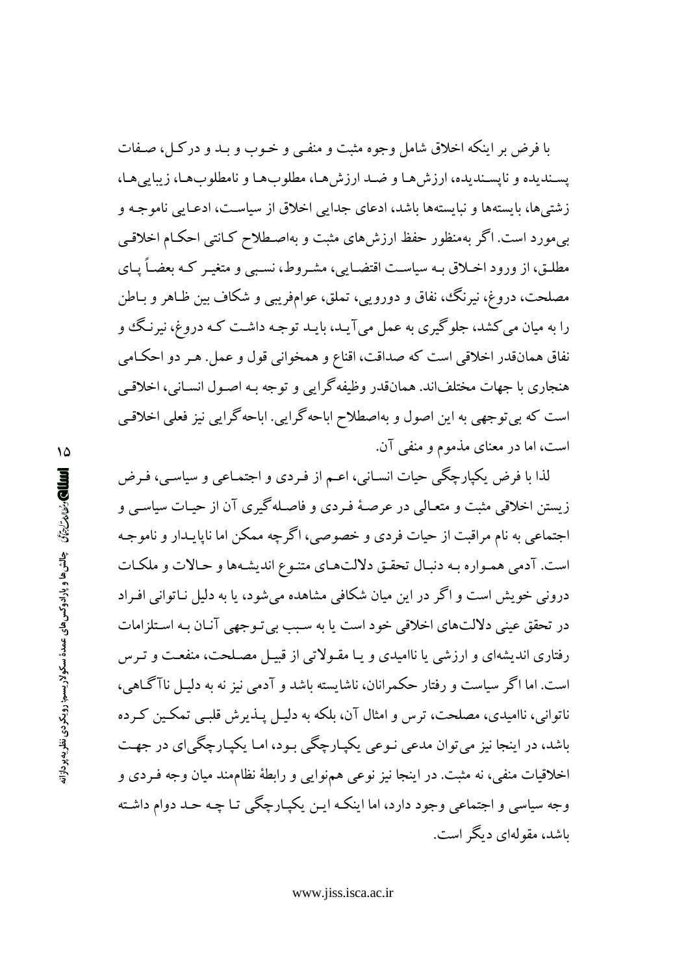با فرض بر اینکه اخلاق شامل وجوه مثبت و منفـی و خـوب و بـد و درکـل، صـفات يسنديده و نايسنديده، ارزش هـا و ضـد ارزش هـا، مطلوبهـا و نامطلوبهـا، زيبايي هـا، زشتی ها، بایستهها و نبایستهها باشد، ادعای جدایی اخلاق از سیاست، ادعـایی ناموجـه و بی مورد است. اگر بهمنظور حفظ ارزش های مثبت و بهاصطلاح کـانتی احکـام اخلاقـی مطلـق، از ورود اخــلاق بــه سياســت اقتضــايي، مشــروط، نســبي و متغيــر كــه بعضــاً يــاي مصلحت، دروغ، نيرنگ، نفاق و دورويي، تملق، عوامفريبي و شكاف بين ظـاهر و بـاطن را به میان می کشد، جلوگیری به عمل می آیـد، بایـد توجـه داشـت کـه دروغ، نیرنـگ و نفاق همانقدر اخلاقی است که صداقت، اقناع و همخوانی قول و عمل. هـر دو احکـامی هنجاري با جهات مختلفاند. همانقدر وظيفه گرايي و توجه بـه اصـول انسـاني، اخلاقـي است که بیتوجهی به این اصول و بهاصطلاح اباحه گرایی. اباحه گرایی نیز فعلی اخلاقبی است، اما در معنای مذموم و منفی آن.

لذا با فرض یکپارچگی حیات انسـانی، اعـم از فـردی و اجتمـاعی و سیاسـی، فـرض زیستن اخلاقی مثبت و متعـالی در عرصـهٔ فـردی و فاصـلهگیری آن از حیـات سیاســ و اجتماعي به نام مراقبت از حيات فردي و خصوصي، اگرچه ممكن اما ناپايـدار و ناموجـه است. آدمی هممواره به دنبال تحقق دلالتهای متنوع اندیشهها و حالات و ملکات درونی خویش است و اگر در این میان شکافی مشاهده می شود، یا به دلیل نـاتوانی افـراد در تحقق عینی دلالتهای اخلاقی خود است یا به سبب بی تـوجهی آنـان بـه اسـتلزامات رفتاری اندیشهای و ارزشی یا ناامیدی و یـا مقـولاتی از قبیـل مصـلحت، منفعـت و تـرس است. اما اگر سیاست و رفتار حکمرانان، ناشایسته باشد و آدمی نیز نه به دلیـل ناآگـاهی، ناتواني، نااميدي، مصلحت، ترس و امثال آن، بلكه به دليـل پــذيرش قلبـي تمكـين كـرده باشد، در اینجا نیز می توان مدعی نـوعی یکیـارچگی بـود، امـا یکیـارچگی|ی در جهـت اخلاقیات منفی، نه مثبت. در اینجا نیز نوعی همنوایی و رابطهٔ نظاممند میان وجه فـردی و وجه سیاسی و اجتماعی وجود دارد، اما اینکـه ایـن یکیـارچگی تـا چـه حـد دوام داشـته ىاشد، مقولەاي دېگر است.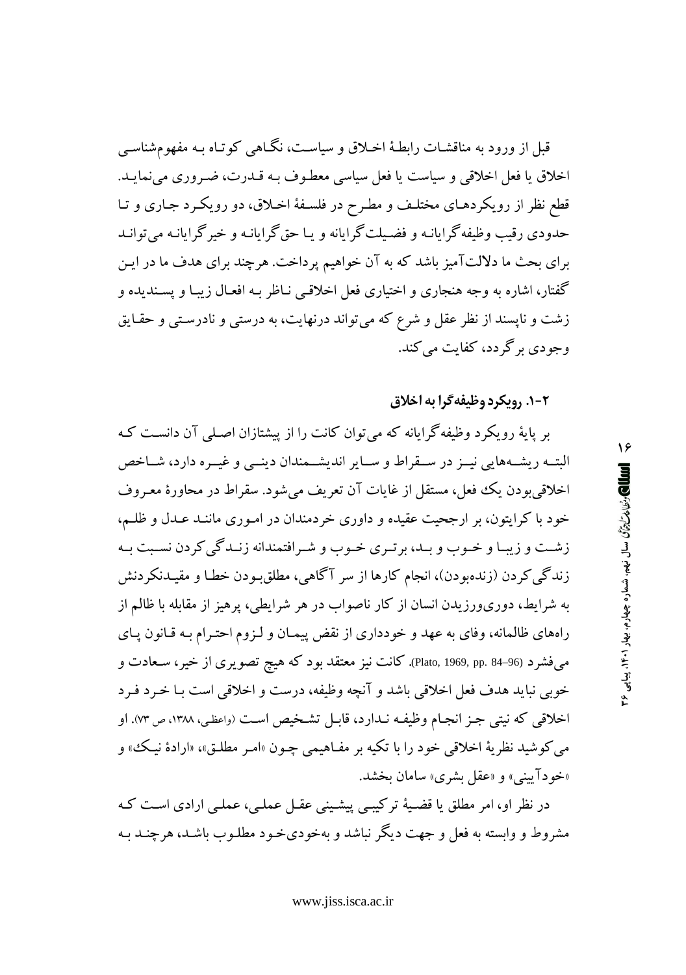قبل از ورود به مناقشـات رابطـهٔ اخـلاق و سیاسـت، نگــاهـی کوتـاه بـه مفهومشناسـی اخلاق یا فعل اخلاقی و سیاست یا فعل سیاسی معطوف بـه قــدرت، ضـروری می نمایــد. قطع نظر از رویکردهـای مختلـف و مطـرح در فلسـفهٔ اخـلاق، دو رویکـرد جـاری و تـا حدودي د قب وظيفه گرايانـه و فضـيلت گرايانه و بـا حق گرايانـه و خبر گرايانـه مي توانـد برای بحث ما دلالتآمیز باشد که به آن خواهیم پرداخت. هرچند برای هدف ما در ایـن گفتار، اشاره به وجه هنجاري و اختياري فعل اخلاقبي نـاظر بـه افعـال زيبـا و يسـنديده و زشت و ناپسند از نظر عقل و شرع که می تواند درنهایت، به درستی و نادرستی و حقـایق وجو دی پر گردد، کفایت مے کند.

#### 2-1. رويكرد وظيفه گرا به اخلاق

بر پایهٔ رویکرد وظیفهگرایانه که میتوان کانت را از پیشتازان اصلی آن دانست ک البتــه ريشــههايي نيــز در ســقراط و ســاير انديشــمندان دينــي و غيــره دارد، شــاخص اخلاقی بودن یک فعل، مستقل از غایات آن تعریف می شود. سقراط در محاورهٔ معـروف خود با کرایتون، بر ارجحیت عقیده و داوری خردمندان در امـوری ماننـد عـدل و ظلـم، زشت و زیبا و خـوب و بـد، برتـري خـوب و شـرافتمندانه زنـدگي كردن نسـبت بـه زندگی کردن (زندهبودن)، انجام کارها از سر آگاهی، مطلقبودن خطـا و مقیـدنکردنش به شرایط، دوریورزیدن انسان از کار ناصواب در هر شرایطی، پرهیز از مقابله با ظالم از راههای ظالمانه، وفای به عهد و خودداری از نقض پیمـان و لـزوم احتـرام بـه قـانون پـای میفشرد (96–84 Plato, 1969, pp. کانت نیز معتقد بود که هیچ تصویری از خیر، سـعادت و خوبي نبايد هدف فعل اخلاقي باشد و آنچه وظيفه، درست و اخلاقي است بـا خـرد فـرد اخلاقی که نیتی جـز انجـام وظیفـه نـدارد، قابـل تشـخیص اسـت (واعظـی، ۱۳۸۸، ص ۷۳). او مي كوشيد نظريهٔ اخلاقي خود را با تكيه بر مفـاهيمي چـون «امـر مطلـق»، «ارادهٔ نيـك» و «خودآييني» و «عقل بشرى» سامان بخشد.

در نظر او، امر مطلق یا قضیهٔ ترکیبے پیشینے عقبل عملے، عملے ارادی است کـه مشروط و وابسته به فعل و جهت دیگر نباشد و بهخودی خـود مطلـوب باشـد، هرچنـد بـه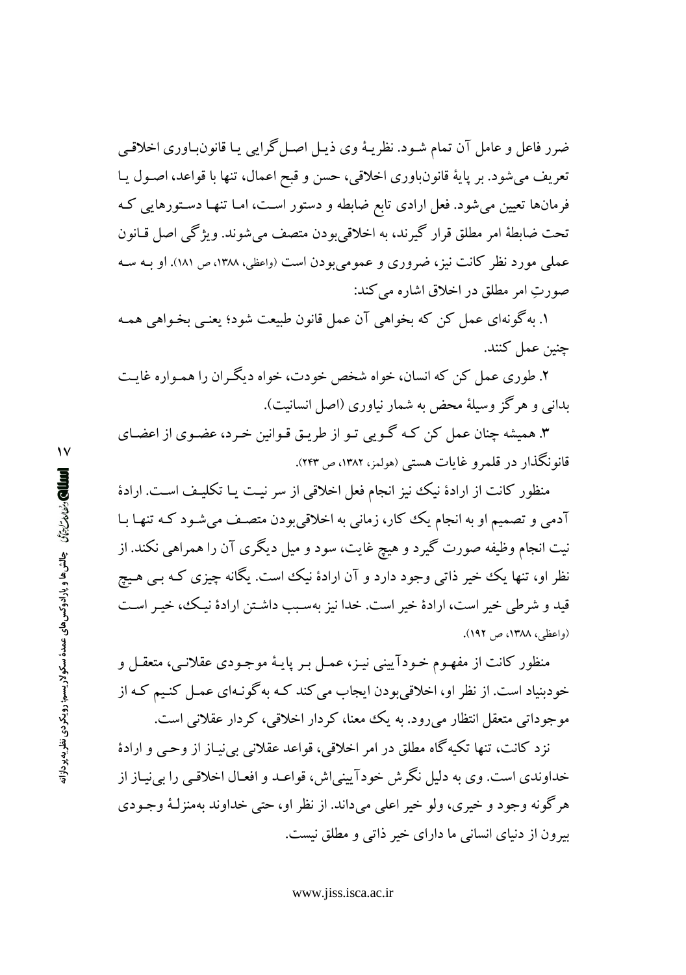ضرر فاعل و عامل آن تمام شـود. نظریـهٔ وی ذیـل اصـل گرایبی یـا قانون.بـاوری اخلاقـبی تعريف مي شود. بر پايهٔ قانونباوري اخلاقي، حسن و قبح اعمال، تنها با قواعد، اصـول پـا فرمانها تعیین میشود. فعل ارادی تابع ضابطه و دستور است، امـا تنهـا دسـتورهایی کـه تحت ضابطهٔ امر مطلق قرار گیرند، به اخلاقی بودن متصف می شوند. ویژگی اصل قـانون عملی مورد نظر کانت نیز، ضروری و عمومی بودن است (واعظی، ۱۳۸۸، ص ۱۸۱). او بـه سـه صورتِ امر مطلق در اخلاق اشاره مي كند:

١. به گونهاي عمل كن كه بخواهي آن عمل قانون طبيعت شود؛ يعنـي بخـواهي همـه چنین عمل کنند.

۲. طوری عمل کن که انسان، خواه شخص خودت، خواه دیگران را همـواره غایـت بدانی و هرگز وسیلهٔ محض به شمار نیاوری (اصل انسانیت).

۳. همیشه چنان عمل کن کـه گـویی تـو از طریـق قـوانین خـرد، عضـوی از اعضـای قانونگذار در قلمرو غايات هستي (هولمز، ۱۳۸۲، ص ۲۴۳).

منظور کانت از ارادهٔ نیک نیز انجام فعل اخلاقی از سر نیـت یـا تکلیـف اسـت. ارادهٔ آدمی و تصمیم او به انجام یک کار، زمانی به اخلاقی بودن متصـف می شـود کـه تنهـا بـا نیت انجام وظیفه صورت گیرد و هیچ غایت، سود و میل دیگری آن را همراهی نکند. از نظر او، تنها یک خیر ذاتی وجود دارد و آن ارادهٔ نیک است. یگانه چیزی کـه بـی هـیچ قید و شرطی خیر است، ارادهٔ خیر است. خدا نیز بهسـبب داشـتن ارادهٔ نیـک، خیـر اسـت (واعظے ،، ۱۳۸۸، ص ۱۹۲).

منظور کانت از مفهـوم خـودآیینی نیـز، عمـل بـر پایـهٔ موجـودی عقلانـی، متعقـل و خودبنیاد است. از نظر او، اخلاقی بودن ایجاب می کند کـه به گونـهای عمـل کنـیم کـه از موجوداتی متعقل انتظار میرود. به یک معنا، کردار اخلاقی، کردار عقلانی است.

نز د کانت، تنها تکیه گاه مطلق در امر اخلاقی، قواعد عقلانی بینیاز از وحیی و ارادهٔ خداوندي است. وي به دليل نگر ش خودآييني اش، قواعـد و افعـال اخلاقـي را بي نيـاز از هر گونه وجود و خيري، ولو خير اعلي مي داند. از نظر او، حتى خداوند بهمنزلـۀ وجـودي بیرون از دنیای انسانی ما دارای خیر ذاتی و مطلق نیست.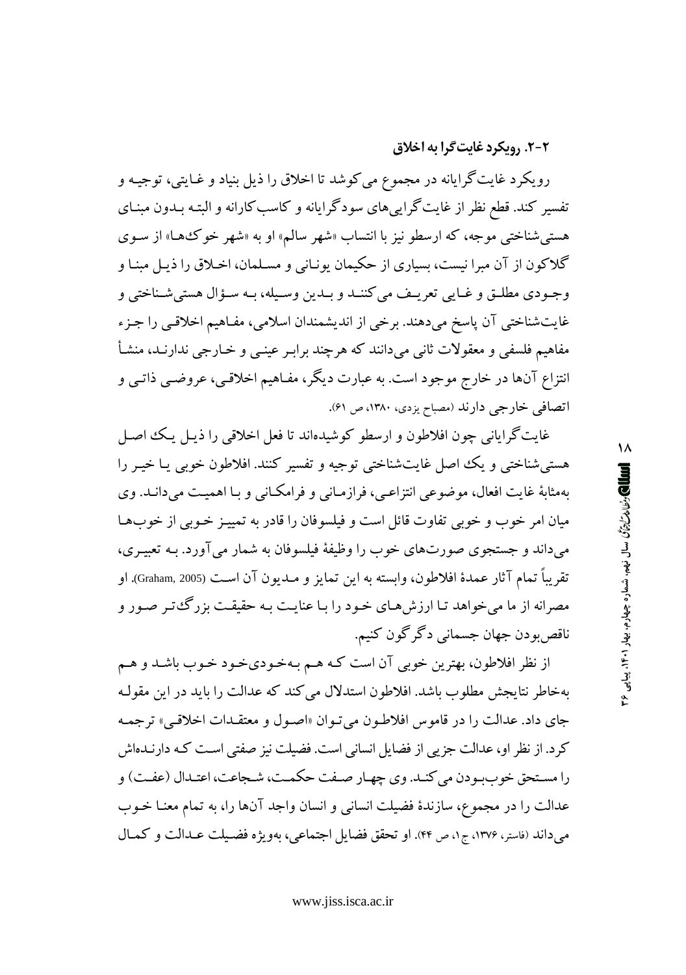#### 2-2. رویکرد غایت گرا به اخلاق

رویکرد غایتگرایانه در مجموع می کوشد تا اخلاق را ذیل بنیاد و غـایتی، توجیـه و تفسیر کند. قطع نظر از غایت گراییهای سودگرایانه و کاسب کارانه و البتـه بـدون مبنـای هستي شناختي موجه، كه ارسطو نيز با انتساب «شهر سالم» او به «شهر خوكها» از سـوى گلاکون از آن مبرا نیست، بسیاری از حکیمان یونـانی و مسـلمان، اخـلاق را ذیـل مبنـا و وجـودي مطلــق و غــايي تعريــف مي كننــد و بــدين وســيله، بــه ســؤال هستي شــناختي و غايتشناختي آن پاسخ ميدهند. برخي از انديشمندان اسلامي، مفـاهيم اخلاقـي را جـزء مفاهيم فلسفى و معقولات ثاني مىدانند كه هرچند برابـر عينــي و خــارجي ندارنــد، منشـأ انتزاع آنها در خارج موجود است. به عبارت دیگر، مفـاهیم اخلاقـی، عروضـی ذاتـی و اتصافی خارجی دارند (مصباح یزدی، ۱۳۸۰، ص ۶۱).

غايت گراياني چون افلاطون و ارسطو كوشيدهاند تا فعل اخلاقي را ذيـل يـك اصـل هستی شناختی و یک اصل غایتشناختی توجیه و تفسیر کنند. افلاطون خوبی یـا خیـر را بهمثابهٔ غایت افعال، موضوعی انتزاعبی، فرازمـانی و فرامکـانی و بـا اهمیـت میدانـد. وی میان امر خوب و خوبی تفاوت قائل است و فیلسوفان را قادر به تمییـز خـوبی از خوبهـا میداند و جستجوی صورتهای خوب را وظیفهٔ فیلسوفان به شمار میآورد. بـه تعبیـری، تقريباً تمام آثار عمدهٔ افلاطون، وابسته به اين تمايز و مــديون آن اسـت (Graham, 2005). او مصرانه از ما میخواهد تـا ارزشهـای خـود را بـا عنایـت بـه حقیقـت بزرگءتـر صـور و ناقص بو دن جهان جسماني دگر گون کنيم.

از نظر افلاطون، بهترین خوبی آن است کـه هـم بـهخـودیخـود خـوب باشـد و هـم بهخاطر نتايجش مطلوب باشد. افلاطون استدلال مي كند كه عدالت را بايد در اين مقولـه جاي داد. عدالت را در قاموس افلاطون مي تـوان «اصـول و معتقـدات اخلاقـمي» ترجمـه کرد. از نظر او، عدالت جزیی از فضایل انسانی است. فضیلت نیز صفتی است که دارنـدهاش را مستحق خوب و دن می کنید. وی چهبار صیفت حکمت، شیجاعت، اعتبدال (عفت) و عدالت را در مجموع، سازندهٔ فضیلت انسانی و انسان واجد آنها را، به تمام معنـا خـوب مي داند (فاستر، ١٣٧۶، ج١، ص ۴۴). او تحقق فضايل اجتماعي، بهويژه فضيلت عـدالت و كمـال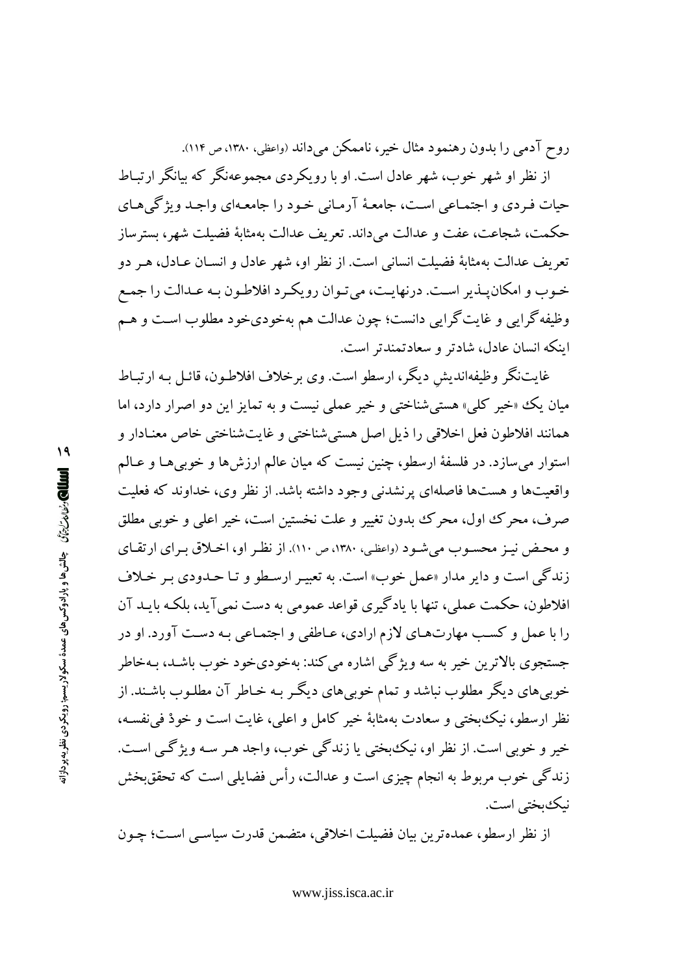روح آدمی را بدون رهنمود مثال خیر، ناممکن می داند (واعظی، ۱۳۸۰، ص ۱۱۴).

از نظر او شهر خوب، شهر عادل است. او با رویکر دی مجموعهنگر که بیانگر ارتباط حيات فـردي و اجتمـاعي اسـت، جامعـهٔ آرمـاني خـود را جامعـهاي واجـد ويژگي&ـاي حکمت، شجاعت، عفت و عدالت مے داند. تعریف عدالت بهمثابهٔ فضیلت شهر، بسترساز تعريف عدالت بهمثابة فضيلت انساني است. از نظر او، شهر عادل و انســان عــادل، هـر دو خـوب و امکان یـذیر اسـت. درنهایـت، می تـوان رویکـرد افلاطـون بـه عـدالت را جمـع وظیفه گرایی و غایت گرایی دانست؛ چون عدالت هم بهخودیخود مطلوب است و هـم اینکه انسان عادل، شادتر و سعادتمندتر است.

غايتنگر وظيفهانديش ديگر، ارسطو است. وي برخلاف افلاطـون، قائـل بـه ارتبـاط میان یک «خیر کلی» هستی شناختی و خیر عملی نیست و به تمایز این دو اصرار دارد، اما همانند افلاطون فعل اخلاقي را ذيل اصل هستي شناختي و غايتشناختي خاص معنـادار و استوار مي سازد. در فلسفهٔ ارسطو، چنين نيست كه ميان عالم ارزش ها و خوبي هـا و عـالـم واقعیتها و هستها فاصلهای پرنشدنی وجود داشته باشد. از نظر وی، خداوند که فعلیت صرف، محرک اول، محرک بدون تغییر و علت نخستین است، خیر اعلی و خوبی مطلق و محض نیز محسوب می شود (واعظی، ۱۳۸۰، ص ۱۱۰). از نظر او، اخبلاق برای ارتقای زندگی است و دایر مدار «عمل خوب» است. به تعبیـر ارسـطو و تـا حـدودي بـر خـلاف افلاطون، حکمت عملی، تنها با یادگیری قواعد عمومی به دست نمی آید، بلکـه بایـد آن را با عمل و کسب مهارتهای لازم ارادی، عـاطفی و اجتمـاعی بـه دسـت آورد. او در جستجوی بالاترین خیر به سه ویژگی اشاره می کند: بهخودیخود خوب باشـد، بـهخاطر خوبیهای دیگر مطلوب نباشد و تمام خوبیهای دیگر بـه خـاطر آن مطلـوب باشـند. از نظر ارسطو، نیک بختی و سعادت بهمثابهٔ خیر کامل و اعلی، غایت است و خودْ فی نفسه، خير و خوبي است. از نظر او، نيک بختي يا زندگي خوب، واجد هـر سـه ويژگـي اسـت. زندگی خوب مربوط به انجام چیزی است و عدالت، رأس فضایلی است که تحققبخش نىك يختى است.

از نظر ارسطو، عمدهترین بیان فضیلت اخلاقی، متضمن قدرت سیاسبی است؛ چـون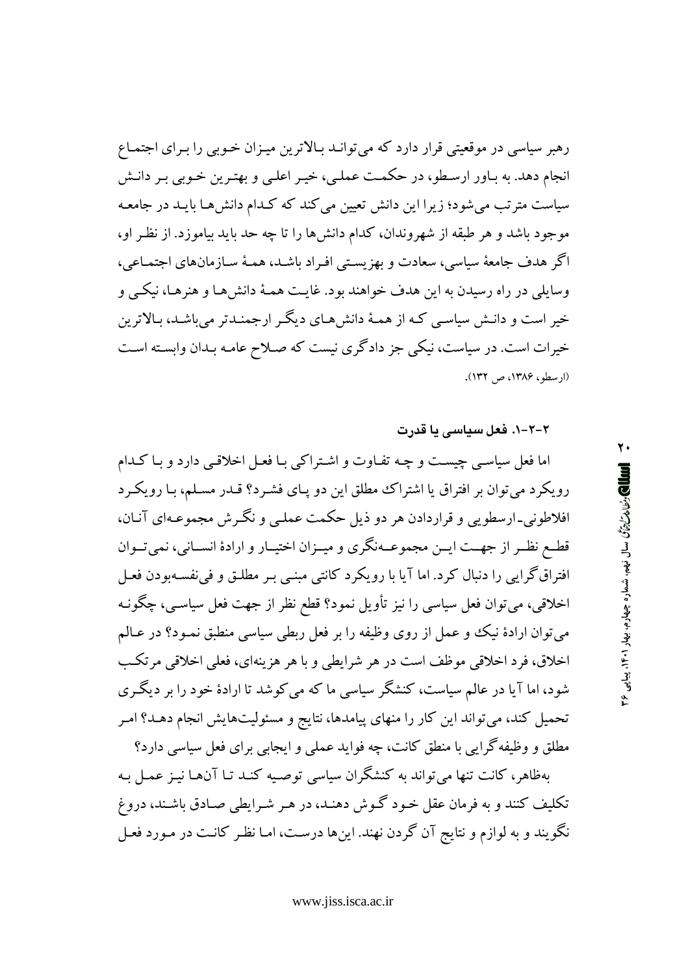رهبر سیاسی در موقعیتی قرار دارد که میتوانـد بـالاترین میـزان خـوبی را بـرای اجتمـاع انجام دهد. به پاور ارسطو، در حکمت عملی، خیر اعلی و بهترین خوبی پر دانش سیاست مترتب میشود؛ زیرا این دانش تعیین می کند که کـدام دانش هـا بایـد در جامعـه موجود باشد و هر طبقه از شهروندان، کدام دانش۱ را تا چه حد باید بیاموزد. از نظـر او، اگر هدف جامعهٔ سیاسی، سعادت و بهزیستی افـراد باشـد، همـهٔ سـازمانهای اجتمـاعی، وسایلی در راه رسیدن به این هدف خواهند بود. غایت همـهٔ دانش هـا و هنرهـا، نیکــی و خیر است و دانـش سیاسـي کـه از همـهٔ دانش۹مـاي دیگـر ارجمنـدتر ميباشـد، بـالاترين خیرات است. در سیاست، نیکی جز دادگری نیست که صـلاح عامـه بـدان وابسـته اسـت (اد سطو، ۱۳۸۶، ص ۱۳۲).

۲-۲-۱. فعل سیاسی یا قدرت

اما فعل سیاسے چیست و چه تفـاوت و اشـتراکی بـا فعـل اخلاقـی دارد و بـا کـدام رویکرد می توان بر افتراق یا اشتراک مطلق این دو پـای فشـرد؟ قـدر مسـلـم، بـا رویکـرد افلاطوني-ارسطويي و قراردادن هر دو ذيل حكمت عمليي و نگـرش مجموعـهاي آنــان، قطـع نظـر از جهــت ايــن مجموعــهنگري و ميــزان اختيــار و ارادهٔ انســاني، نميتــوان افتراق گرایی را دنبال کرد. اما آیا با رویکرد کانتی مبنبی بـر مطلـق و فی نفسـهبودن فعـل اخلاقی، میتوان فعل سیاسی را نیز تأویل نمود؟ قطع نظر از جهت فعل سیاسـی، چگونـه می توان ارادهٔ نیک و عمل از روی وظیفه را بر فعل ربطی سیاسی منطبق نمـود؟ در عـالـم اخلاق، فرد اخلاقی موظف است در هر شرایطی و با هر هزینهای، فعلی اخلاقی مرتکب شود، اما آیا در عالم سیاست، کنشگر سیاسی ما که می کوشد تا ارادهٔ خود را بر دیگری تحمیل کند، می تواند این کار را منهای پیامدها، نتایج و مسئولیتهایش انجام دهـد؟ امـر مطلق و وظیفه گرایی با منطق کانت، چه فواید عملی و ایجابی برای فعل سیاسی دارد؟

بهظاهر، کانت تنها میتواند به کنشگران سیاسی توصیه کنـد تـا آنهـا نیـز عمـل بـه تکلیف کنند و به فرمان عقل خـود گـوش دهنـد، در هـر شـرایطی صـادق باشـند، دروغ نگویند و به لوازم و نتایج آن گردن نهند. اینها درست، امـا نظـر کانـت در مـورد فعـل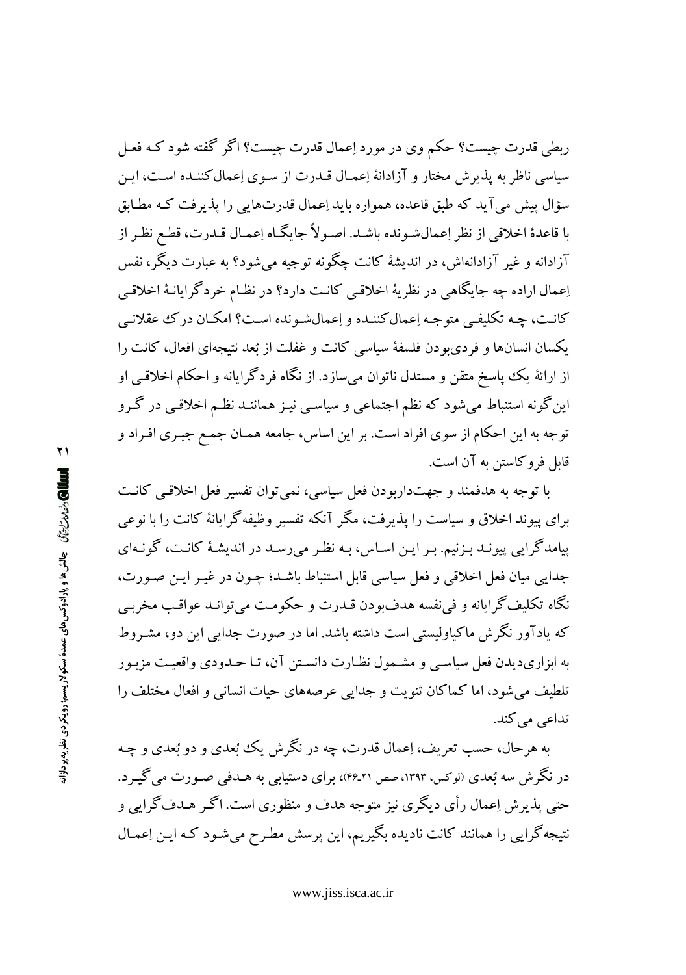ربطی قدرت چیست؟ حکم وی در مورد اِعمال قدرت چیست؟ اگر گفته شود کـه فعـل سیاسی ناظر به پذیرش مختار و آزادانهٔ اِعمـال قـدرت از سـوی اِعمال کننـده اسـت، ایـن سؤال پیش می آید که طبق قاعده، همواره باید اِعمال قدرتهایی را پذیرفت کـه مطـابق يا قاعدهٔ اخلاقي از نظر إعمال شـونده باشـد. اصـولاً جايگـاه إعمـال قـدرت، قطـع نظـر از آزادانه و غیر آزادانهاش، در اندیشهٔ کانت چگونه توجیه می شود؟ به عبارت دیگر، نفس اِعمال اراده چه جایگاهی در نظریهٔ اخلاقبی کانـت دارد؟ در نظـام خردگرایانـهٔ اخلاقـی كانت، چـه تكليفـي متوجـه إعمال كننـده و إعمال شـونده اسـت؟ امكـان در ك عقلانـي یکسان انسانها و فردیبودن فلسفهٔ سیاسی کانت و غفلت از بُعد نتیجهای افعال، کانت را از ارائهٔ یک یاسخ متقن و مستدل ناتوان می سازد. از نگاه فردگرایانه و احکام اخلاقبی او این گونه استنباط میشود که نظم اجتماعی و سیاسـی نیـز هماننـد نظـم اخلاقـی در گـرو توجه به این احکام از سوی افراد است. بر این اساس، جامعه همـان جمـع جبـری افـراد و قابل فروكاستن به آن است.

با توجه به هدفمند و جهتداربودن فعل سیاسی، نمی توان تفسیر فعل اخلاقبی کانت برای پیوند اخلاق و سیاست را پذیرفت، مگر آنکه تفسیر وظیفه گرایانهٔ کانت را با نوعی پیامدگرایی پیونـد بـزنیم. بـر ایـن اسـاس، بـه نظـر می رسـد در اندیشـهٔ کانـت، گونـهای جدایی میان فعل اخلاقی و فعل سیاسی قابل استنباط باشـد؛ چـون در غیـر ایـن صـورت، نگاه تکليف گرايانه و في نفسه هدفبودن قــدرت و حکومـت مي توانــد عواقـب مخربـي که یادآور نگرش ماکیاولیستی است داشته باشد. اما در صورت جدایی این دو، مشـروط به ابزاريديدن فعل سياسي و مشـمول نظـارت دانسـتن آن، تـا حـدودي واقعيـت مزبـور تلطیف می شود، اما کماکان ثنویت و جدایی عرصههای حیات انسانی و افعال مختلف را تداعی می کند.

په هرحال، حسب تعریف، اِعمال قدرت، چه در نگرش یک نُعدی و دو نُعدی و چـه در نگرش سه بُعدی (لوکس، ۱۳۹۳، صص ۴۶ـ۴۶)، برای دستیابی به هــدفی صــورت می گیــرد. حتی پذیرش اِعمال رأی دیگری نیز متوجه هدف و منظوری است. اگـر هـدف گرایی و نتیجه گرایی را همانند کانت نادیده بگیریم، این پرسش مطرح می شـود کـه ایـن اِعمـال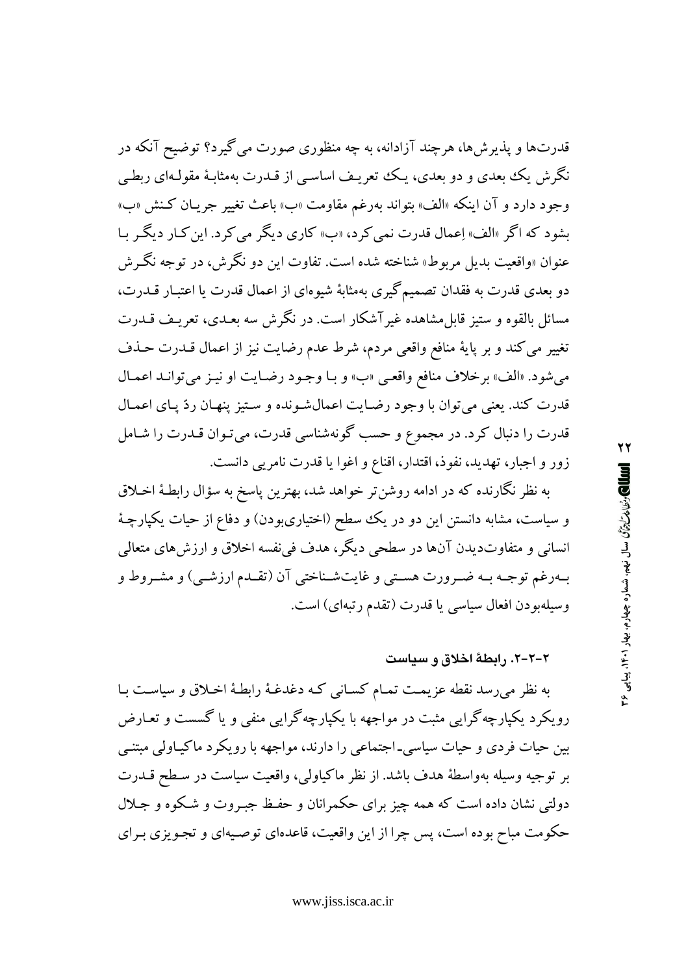قدرتها و پذیرشها، هرچند آزادانه، به چه منظوری صورت می گیرد؟ توضیح آنکه در نگرش یک بعدی و دو بعدی، یک تعریف اساسے از قـدرت بهمثابـهٔ مقولـهای ربطـی وجود دارد و آن اينكه «الف» بتواند بهرغم مقاومت «ب» باعث تغيير جريـان كـنش «ب» بشود که اگر «الف» اِعمال قدرت نمي کرد، «ب» کاري ديگر مي کرد. اين کيار ديگر با عنوان «واقعیت بدیل مربوط» شناخته شده است. تفاوت این دو نگرش، در توجه نگـرش دو بعدی قدرت به فقدان تصمیم گیری بهمثابهٔ شیوهای از اعمال قدرت یا اعتبـار قـدرت، مسائل بالقوه و ستیز قابلِ مشاهده غیرآشکار است. در نگرش سه بعـدی، تعریـف قــدرت تغییر می کند و بر پایهٔ منافع واقعی مردم، شرط عدم رضایت نیز از اعمال قـدرت حـذف مي شود. «الف» برخلاف منافع واقعيي «ب» و بـا وجـود رضـايت او نيـز مي توانـد اعمـال قدرت كند. يعني مي توان با وجود رضايت اعمال شونده و ستيز پنهان ردّ پاي اعمـال قدرت را دنبال کرد. در مجموع و حسب گونهشناسی قدرت، میتوان قـدرت را شـامل زور و اجبار، تهدید، نفوذ، اقتدار، اقناع و اغوا یا قدرت نامریبی دانست.

به نظر نگارنده که در ادامه روشنتر خواهد شد، بهترین پاسخ به سؤال رابطـهٔ اخـلاق و سیاست، مشابه دانستن این دو در یک سطح (اختیاریبودن) و دفاع از حیات یکپارچهٔ انسانی و متفاوتدیدن آنها در سطحی دیگر، هدف فی نفسه اخلاق و ارزش های متعالی بهرغم توجـه بـه ضـرورت هسـتي و غايتشـناختي آن (تقـدم ارزشـي) و مشـروط و وسيلهبودن افعال سياسي يا قدرت (تقدم رتبهاي) است.

#### ۲-۲-۲. رابطهٔ اخلاق و سیاست

به نظر می رسد نقطه عزیمت تمـام کسـانی کـه دغدغـهٔ رابطـهٔ اخـلاق و سیاسـت بـا رویکرد یکپارچه گرایی مثبت در مواجهه با یکپارچه گرایی منفی و یا گسست و تعـارض بین حیات فردی و حیات سیاسی۔اجتماعی را دارند، مواجهه با رویکرد ماکیـاولی مبتنـی بر توجیه وسیله بهواسطهٔ هدف باشد. از نظر ماکیاولی، واقعیت سیاست در سطح قـدرت دولتی نشان داده است که همه چیز برای حکمرانان و حفـظ جبـروت و شـکوه و جـلال حکومت مباح بوده است، پس چرا از این واقعیت، قاعدهای توصـیهای و تجـویزی بـرای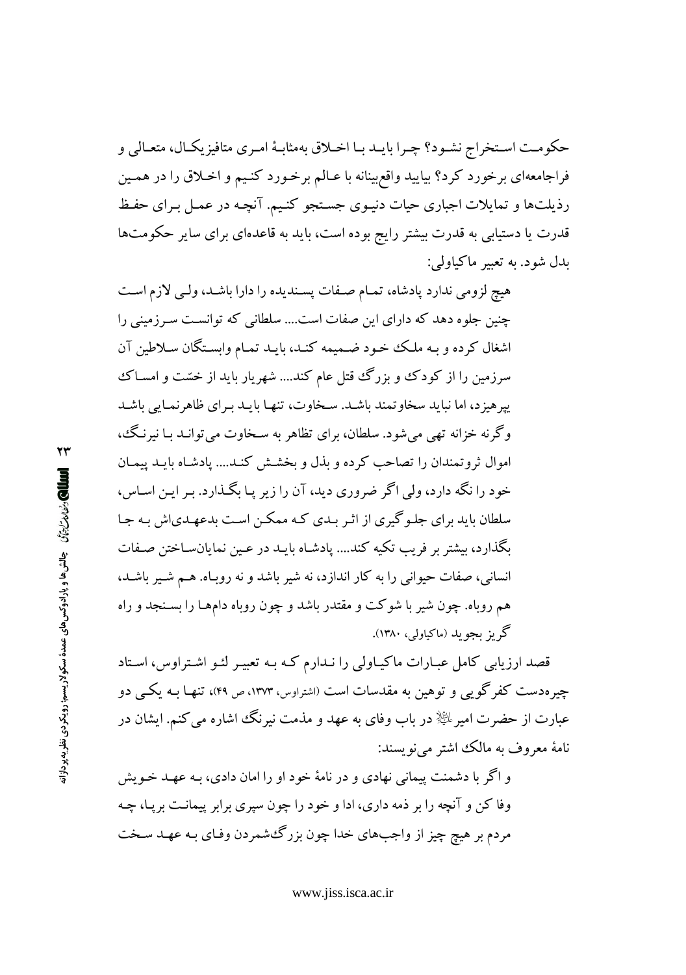حکومت اسـتخراج نشـود؟ چـرا بايـد بـا اخـلاق بهمثابـهٔ امـرى متافيز يکـال، متعـالى و فراجامعهای برخورد کرد؟ بیایید واقع بینانه با عـالم برخـورد کنـیم و اخـلاق را در همـین رذیلتها و تمایلات اجباری حیات دنیوی جستجو کنیم. آنچه در عمل برای حفظ قدرت یا دستیابی به قدرت بیشتر رایج بوده است، باید به قاعدهای برای سایر حکومتها ىدل شود. به تعبير ماكياولي:

هیچ لزومی ندارد پادشاه، تمـام صـفات پسـندیده را دارا باشـد، ولـی لازم اسـت چنین جلوه دهد که دارای این صفات است.... سلطانی که توانست سرزمینی را اشغال کرده و بـه ملـک خـود ضـمیمه کنـد، بایـد تمـام وابسـتگان سـلاطین آن سرزمین را از کودک و بزرگ قتل عام کند.... شهریار باید از خسّت و امسـاک پیر هیز د، اما نباید سخاو تمند باشید. سیخاوت، تنهیا بایید بیرای ظاهر نمیایی باشید وگرنه خزانه تهی می شود. سلطان، برای تظاهر به سـخاوت می توانـد بـا نیرنـگ، اموال ثروتمندان را تصاحب كرده و بذل و بخشش كنـد.... يادشـاه بايـد ييمـان خود را نگه دارد، ولي اگر ضروري ديد، آن را زير يـا بگـذارد. بـر ايـن اسـاس، سلطان باید برای جلـو گیری از اثـر بـدی کـه ممکـن اسـت بدعهـدیاش بـه جـا ىگذارد، ىبشتر بر فريب تكيه كند.... يادشـاه بايــد در عـين نمايانســاختن صـفات انسانی، صفات حیوانی را به کار اندازد، نه شیر باشد و نه روبـاه. هـم شـیر باشـد، هم روباه. چون شیر با شوکت و مقتدر باشد و چون روباه دامهـا را بسـنجد و راه گه بز مجو ید (ماکیاولی، ۱۳۸۰).

قصد ارزیابی کامل عبـارات ماکیـاولی را نـدارم کـه بـه تعبیـر لئـو اشـتراوس، اسـتاد چیر هدست کفر گویی و توهین به مقدسات است (اشتراوس، ۱۳۷۳، ص ۴۹)، تنهـا بـه یکــی دو عبارت از حضرت امیرِ ﷺ در باب وفای به عهد و مذمت نیرنگ اشاره می کنم. ایشان در نامهٔ معروف به مالک اشتر می نویسند:

و اگر با دشمنت پیمانی نهادی و در نامهٔ خود او را امان دادی، بـه عهـد خـویش وفا کن و آنچه را بر ذمه داری، ادا و خود را چون سپری برابر پیمانت بر پیا، چـه مردم بر هيچ چيز از واجبهاي خدا چون بزرگءشمردن وفـاي بـه عهـد سـخت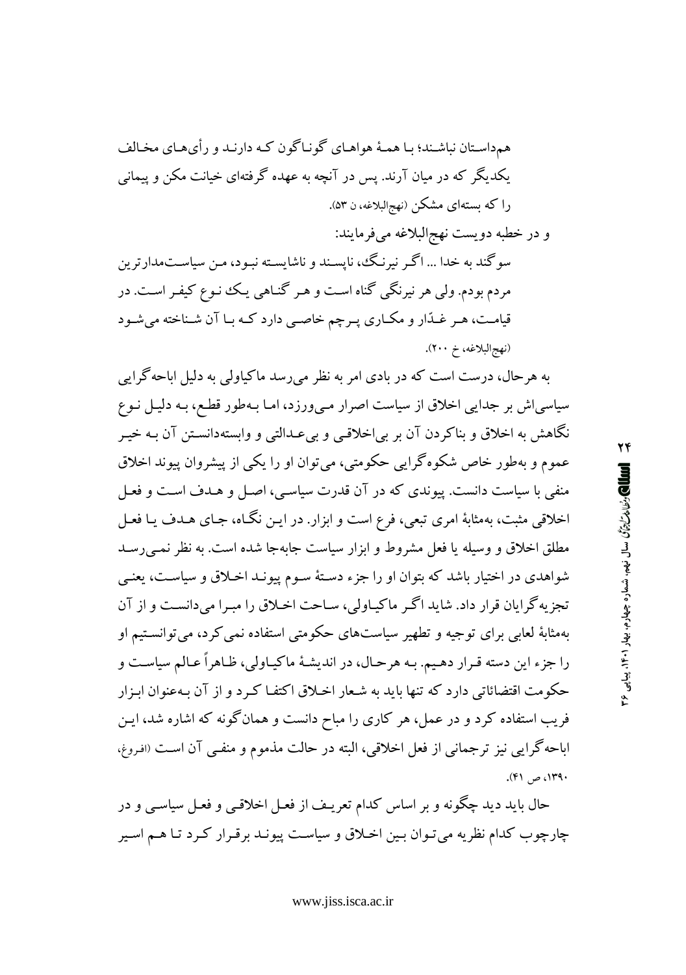سو گند به خدا ... اگـر نیرنـگ، نایسـند و ناشایسـته نبـود، مـن سیاسـتمدارترین مردم بودم. ولی هر نیرنگی گناه است و هـر گنـاهی یـک ننوع کیفـر اسـت. در قیامت، هـر غـدّار و مكـاري پـرچم خاصـي دارد كـه بـا آن شـناخته ميشـود (نهج البلاغه، خ ٢٠٠).

به هرحال، درست است که در بادی امر به نظر می رسد ماکیاولی به دلیل اباحهگرایی سیاسی اش بر جدایی اخلاق از سیاست اصرار می ورزد، امـا بـهطور قطـع، بـه دلیـل نـوع نگاهش به اخلاق و بناکردن آن بر بی|خلاقبی و بیعدالتبی و وابستهدانسـتن آن بـه خیـر عموم و بهطور خاص شکوه گرایی حکومتی، می توان او را یکی از پیشروان پیوند اخلاق منفی با سیاست دانست. پیوندی که در آن قدرت سیاسی، اصل و هـدف اسـت و فعـل اخلاقی مثبت، بهمثابهٔ امری تبعی، فرع است و ابزار. در ایـن نگـاه، جـای هـدف یـا فعـل مطلق اخلاق و وسیله یا فعل مشروط و ابزار سیاست جابهجا شده است. به نظر نمبی رسـد شواهدی در اختیار باشد که بتوان او را جزء دستهٔ سـوم پیونـد اخـلاق و سیاسـت، یعنـی تجزیه گرایان قرار داد. شاید اگر ماکیاولی، ساحت اخلاق را مبرا میدانست و از آن بهمثابهٔ لعابی برای توجیه و تطهیر سیاستهای حکومتی استفاده نمی کرد، می توانستیم او را جزء این دسته قـرار دهـیم. بـه هرحـال، در اندیشـهٔ ماکیـاولی، ظـاهراً عـالم سیاسـت و حکومت اقتضائاتی دارد که تنها باید به شـعار اخـلاق اکتفـا کـرد و از آن بـهعنوان ابـزار فریب استفاده کرد و در عمل، هر کاری را مباح دانست و همانگونه که اشاره شد، ایـن اباحه گرايبي نيز ترجماني از فعل اخلاقي، البته در حالت مذموم و منفـي آن اسـت (افروغ. ۱۳۹۰، ص ۴۱).

حال باید دید چگونه و بر اساس کدام تعریـف از فعـل اخلاقـی و فعـل سیاسـی و در چارچوب کدام نظریه می تـوان بـین اخـلاق و سیاسـت پیونـد برقـرار کـرد تـا هـم اسـیر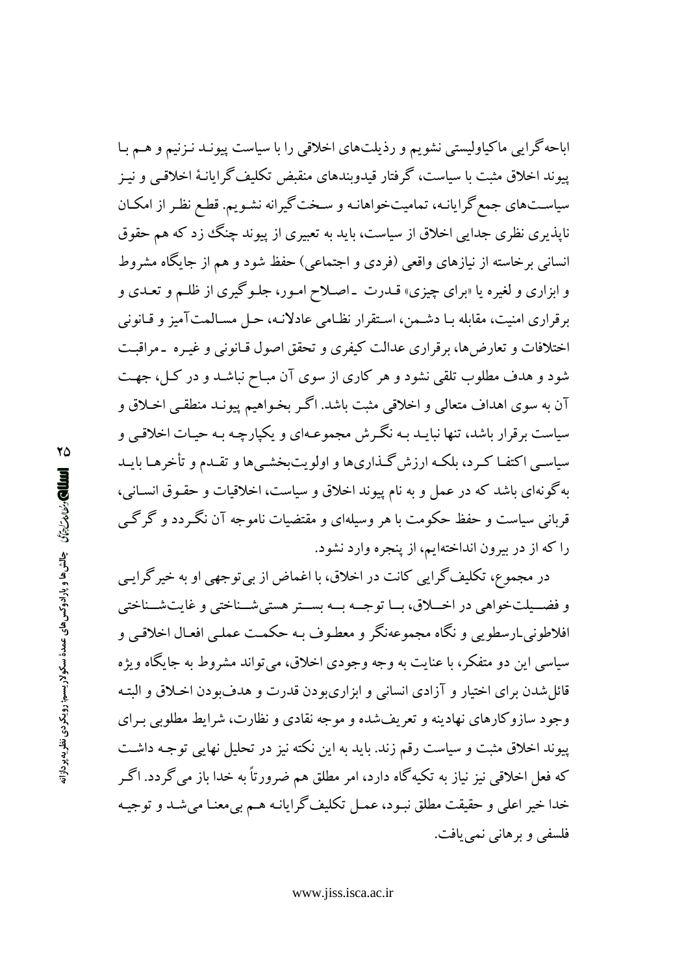اباحه گرایی ماکیاولیستی نشویم و رذیلتهای اخلاقی را با سیاست پیونـد نـزنیم و هـم بـا پیوند اخلاق مثبت با سیاست، گرفتار قیدویندهای منقبض تکلیف گرایانـهٔ اخلاقـی و نیـز سیاستهای جمع گرایانـه، تمامیتخواهانـه و سـخت گیرانه نشـویـم. قطـع نظـر از امكـان نایذیری نظری جدایی اخلاق از سیاست، باید به تعبیری از پیوند چنگ زد که هم حقوق انسانی برخاسته از نیازهای واقعی (فردی و اجتماعی) حفظ شود و هم از جایگاه مشروط و ابزاری و لغیره یا «برای چیزی» قـدرت ـ اصـلاح امـور، جلـوگیری از ظلـم و تعـدی و بر قراری امنیت، مقابله بـا دشـمن، اسـتقرار نظـامی عادلانـه، حـل مسـالمتآمیز و قـانونی اختلافات و تعارضها، برقراری عدالت کیفری و تحقق اصول قـانونی و غیـره ـ مراقبـت شود و هدف مطلوب تلقی نشود و هر کاری از سوی آن مبـاح نباشـد و در کـل، جهـت آن به سوی اهداف متعالی و اخلاقی مثبت باشد. اگـر بخـواهیم پیونـد منطقـی اخـلاق و سیاست برقرار باشد، تنها نبایـد بـه نگـرش مجموعـهای و یکپارچـه بـه حیـات اخلاقـی و سیاسبی اکتفـا کـرد، بلکـه ارزش گـذاریها و اولویتبخشـیها و تقـدم و تأخرهـا بایـد به گونهای باشد که در عمل و به نام پیوند اخلاق و سیاست، اخلاقیات و حقـوق انسـانی، قربانی سیاست و حفظ حکومت با هر وسیلهای و مقتضیات ناموجه آن نگـردد و گرگـی را که از در بیرون انداختهایم، از پنجره وارد نشود.

در مجموع، تکلیف گرایی کانت در اخلاق، با اغماض از بی توجهی او به خیر گرایـی و فضـيلتخواهي در اخــلاق، بــا توجــه بــه بســتر هستي شــناختي و غايت شــناختي افلاطوني ارسطويي و نگاه مجموعهنگر و معطـوف بـه حکمـت عملـي افعـال اخلاقـي و سیاسی این دو متفکر، با عنایت به وجه وجودی اخلاق، می تواند مشروط به جایگاه ویژه قائل شدن براي اختيار و آزادي انساني و ابزاريبودن قدرت و هدفبودن اخـلاق و البتـه وجود سازوکارهای نهادینه و تعریفشده و موجه نقادی و نظارت، شرایط مطلوبی برای پیوند اخلاق مثبت و سیاست رقم زند. باید به این نکته نیز در تحلیل نهایی توجـه داشـت که فعل اخلاقی نیز نیاز به تکیهگاه دارد، امر مطلق هم ضرورتاً به خدا باز میگردد. اگـر خدا خير اعلي و حقيقت مطلق نبـود، عمـل تكليف گرايانـه هـم بي.معنـا مي.شـد و توجيـه فلسفي و برهاني نمي يافت.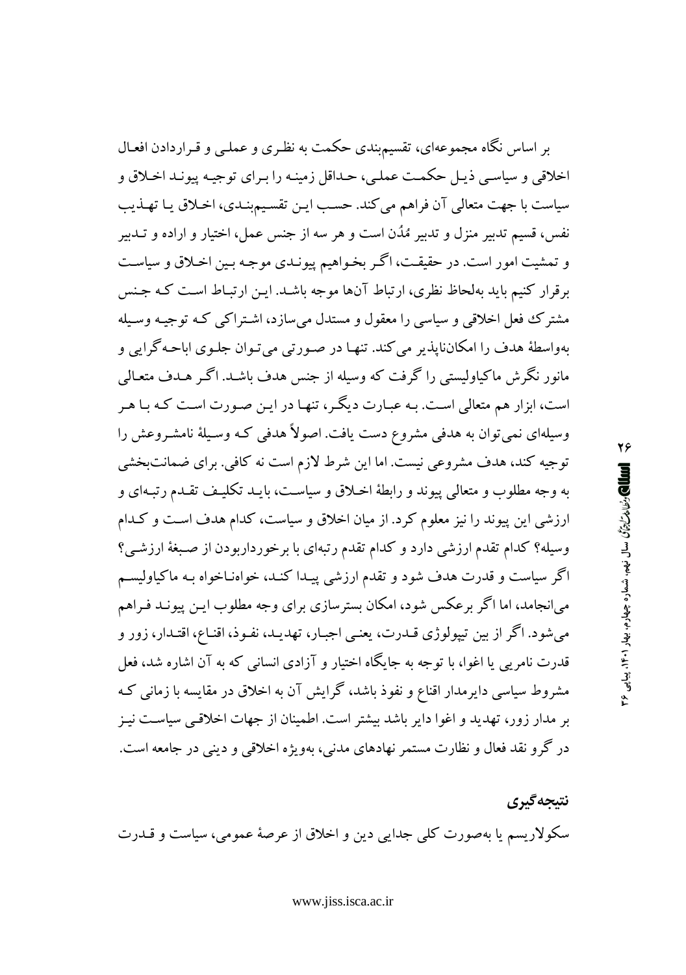بر اساس نگاه مجموعهای، تقسیمبندی حکمت به نظری و عملـی و قـراردادن افعـال اخلاقي و سياسي ذيـل حكمـت عملـي، حـداقل زمينـه را بـراي توجيـه پيونـد اخـلاق و سياست با جهت متعالى آن فراهم مي كند. حسب ايـن تقسـيمېنـدي، اخـلاق يـا تهـذيب نفس، قسيم تدبير منزل و تدبير مُدَّن است و هر سه از جنس عمل، اختيار و اراده و تــدبير و تمشیت امور است. در حقیقت، اگر بخواهیم پیونـدی موجـه بـین اخـلاق و سیاسـت برقرار کنیم باید بهلحاظ نظری، ارتباط آنها موجه باشـد. ایـن ارتبـاط اسـت کـه جـنس مشترک فعل اخلاقی و سیاسی را معقول و مستدل میسازد، اشـتراکی کـه توجیـه وسـیله بهواسطهٔ هدف را امکانناپذیر می کند. تنهـا در صـورتی میتـوان جلـوی اباحـه گرایی و مانور نگرش ماکیاولیستی را گرفت که وسیله از جنس هدف باشـد. اگـر هـدف متعـالمی است، ابزار هم متعالی است. بـه عبـارت دیگـر، تنهـا در ایـن صـورت اسـت کـه بـا هـر وسیلهای نمی توان به هدفی مشروع دست یافت. اصولاً هدفی کـه وسـیلهٔ نامشـروعش را توجیه کند، هدف مشروعی نیست. اما این شرط لازم است نه کافی. برای ضمانتبخشی به وجه مطلوب و متعالمي پيوند و رابطهٔ اخـلاق و سياسـت، بايـد تكليـف تقـدم رتبـهاي و ارزشی این پیوند را نیز معلوم کرد. از میان اخلاق و سیاست، کدام هدف است و کـدام وسیله؟ کدام تقدم ارزشی دارد و کدام تقدم رتبهای با برخورداربودن از صبغهٔ ارزشی؟ اگر سیاست و قدرت هدف شود و تقدم ارزشی پیـدا کنـد، خواهنـاخواه بـه ماکیاولیسـم می|نجامد، اما اگر برعکس شود، امکان بسترسازی برای وجه مطلوب ایـن پیونـد فـراهم می شود. اگر از بین تیپولوژی قــدرت، یعنـی اجبـار، تهدیــد، نفـوذ، اقنـاع، اقتـدار، زور و قدرت نامریی یا اغوا، با توجه به جایگاه اختیار و آزادی انسانی که به آن اشاره شد، فعل مشروط سیاسی دایرمدار اقناع و نفوذ باشد، گرایش آن به اخلاق در مقایسه با زمانبی ک بر مدار زور، تهدید و اغوا دایر باشد بیشتر است. اطمینان از جهات اخلاقبی سیاست نیـز در گرو نقد فعال و نظارت مستمر نهادهای مدنی، بهویژه اخلاقی و دینی در جامعه است.

نتيجه گيري سکولاریسم یا بهصورت کلبی جدایی دین و اخلاق از عرصهٔ عمومی، سیاست و قــدرت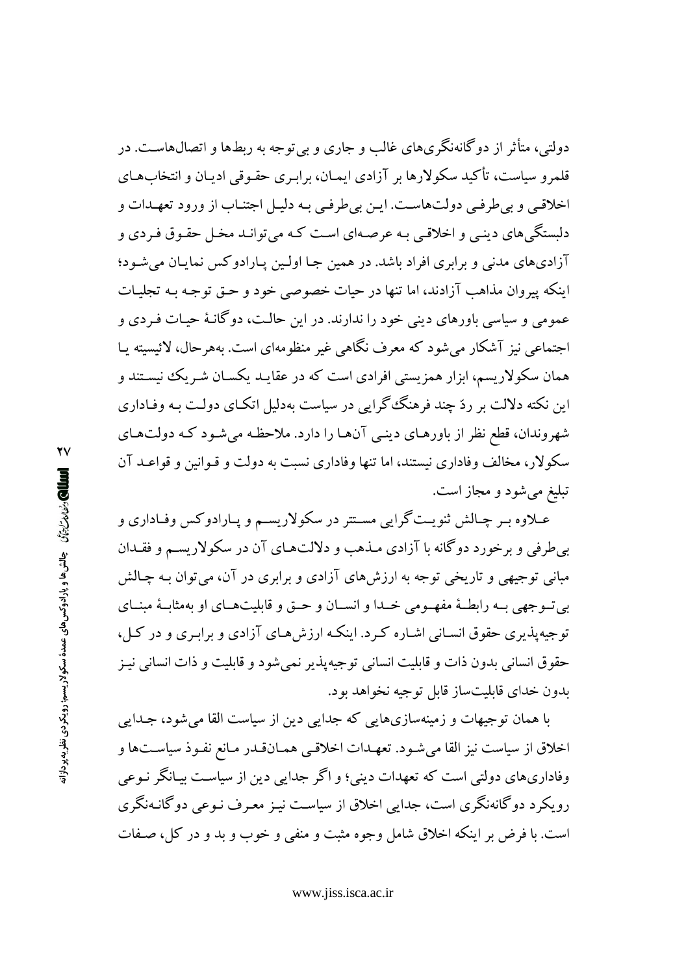دولتم.، متأثر از دوگانهنگریهای غالب و جاری و بیتوجه به ربطها و اتصالهاست. در قلمرو سیاست، تأکید سکولارها بر آزادی ایمـان، برابـری حقـوقی ادیـان و انتخاب۱هـای اخلاقبي و ٻي طرفبي دولت هاست. ايـن ٻي طرفـي بـه دليـل اجتنـاب از ورود تعهــدات و دلستگی های دینبی و اخلاقبی به عرصهای است کـه می توانـد مخـل حقـوق فـردی و آزادي هاي مدني و برابري افراد باشد. در همين جـا اولـين پـارادوكس نمايـان مي شـود؛ اینکه پیروان مذاهب آزادند، اما تنها در حیات خصوصی خود و حـق توجـه بـه تجلیـات عمومی و سیاسی باورهای دینی خود را ندارند. در این حالت، دوگانـهٔ حیـات فـردی و اجتماعي نيز آشكار مي شود كه معرف نگاهي غير منظومهاي است. بههر حال، لائيسيته پيا همان سکولاریسم، ابزار همزیستی افرادی است که در عقایـد یکسـان شـریک نیسـتند و این نکته دلالت بر ردّ چند فرهنگ گرایی در سیاست بهدلیل اتکـای دولـت بـه وفـاداری شهروندان، قطع نظر از باورهـای دینـی آنهـا را دارد. ملاحظـه میشـود کـه دولتهـای سکولار، مخالف وفاداری نیستند، اما تنها وفاداری نسبت به دولت و قـوانین و قواعـد آن تبليغ مي شود و مجاز است.

عــلاوه بــر چــالش ثنويــت گرايي مســتتر در سكولاريســم و يــارادوكس وفــاداري و به طرفي و برخورد دوگانه با آزادي مـذهب و دلالتهاي آن در سكولاريسـم و فقـدان مباني توجيهي و تاريخي توجه به ارزش هاي آزادي و برابري در آن، مي توان بـه چـالش بي تسوجهي بـه رابطـهٔ مفهـومي خـدا و انســان و حــق و قابليتهــاي او بهمثابـهٔ مبنــاي توجیه پذیری حقوق انسـانی اشـاره کـرد. اینکـه ارزش هـای آزادی و برابـری و در کـل، حقوق انساني بدون ذات و قابليت انساني توجيه پذير نمي شود و قابليت و ذات انساني نيـز بدون خداي قابليتساز قابل توجيه نخواهد بود.

با همان توجیهات و زمینهسازیهایی که جدایی دین از سیاست القا میشود، جـدایی اخلاق از سیاست نیز القا میشود. تعهـدات اخلاقـی همـانقـدر مـانع نفـوذ سیاسـتها و وفاداریهای دولتی است که تعهدات دینی؛ و اگر جدایی دین از سیاست بیـانگر نـوعی رویکرد دو گانهنگری است، جدایی اخلاق از سیاست نیز معیرف نبوعی دو گانیهنگری است. با فرض بر اینکه اخلاق شامل وجوه مثبت و منفی و خوب و بد و در کل، صـفات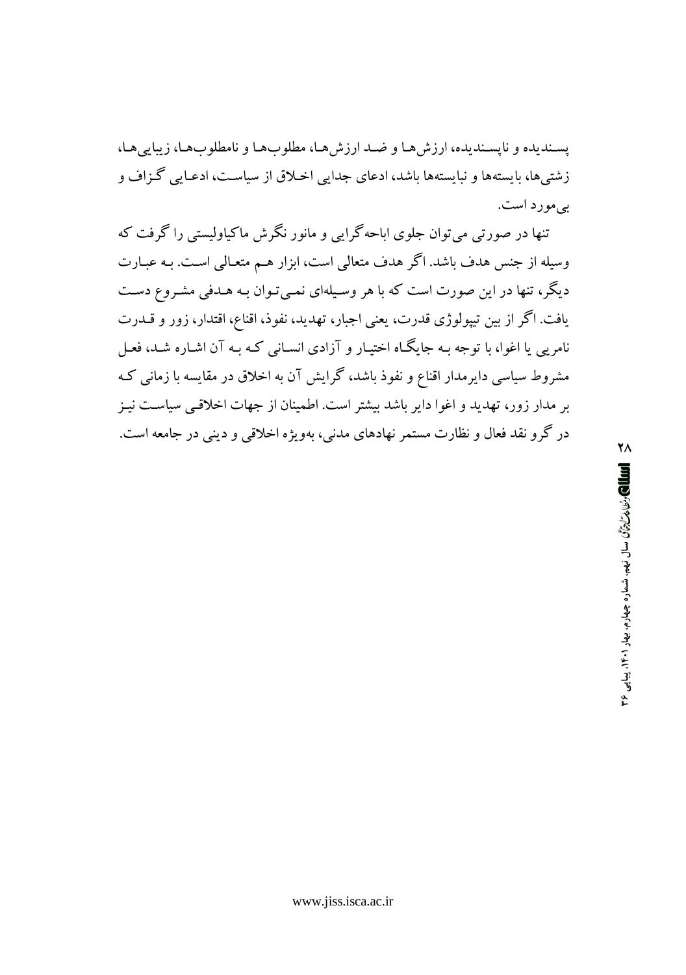يسنديده و نايسنديده، ارزش هـا و ضـد ارزش هـا، مطلوبهـا و نامطلوبهـا، زيبايي هـا، زشتیها، بایستهها و نبایستهها باشد، ادعای جدایی اخـلاق از سیاسـت، ادعـایی گـزاف و بي مورد است.

تنها در صورتی می توان جلوی اماحه گرایی و مانور نگرش ماکیاولیستی را گرفت که وسیله از جنس هدف باشد. اگر هدف متعالی است، ابزار هـم متعـالی اسـت. بـه عبـارت دیگر، تنها در این صورت است که با هر وسیلهای نمبی تـوان بـه هـدفی مشـروع دسـت یافت. اگر از بین تیپولوژی قدرت، یعنی اجبار، تهدید، نفوذ، اقناع، اقتدار، زور و قــدرت نامریی یا اغوا، با توجه بـه جایگـاه اختیـار و آزادی انسـانی کـه بـه آن اشـاره شـد، فعـل مشروط سیاسی دایرمدار اقناع و نفوذ باشد، گرایش آن به اخلاق در مقایسه با زمانی ک بر مدار زور، تهدید و اغوا دایر باشد بیشتر است. اطمینان از جهات اخلاقبی سیاست نیـز در گرو نقد فعال و نظارت مستمر نهادهای مدنی، بهویژه اخلاقی و دینی در جامعه است.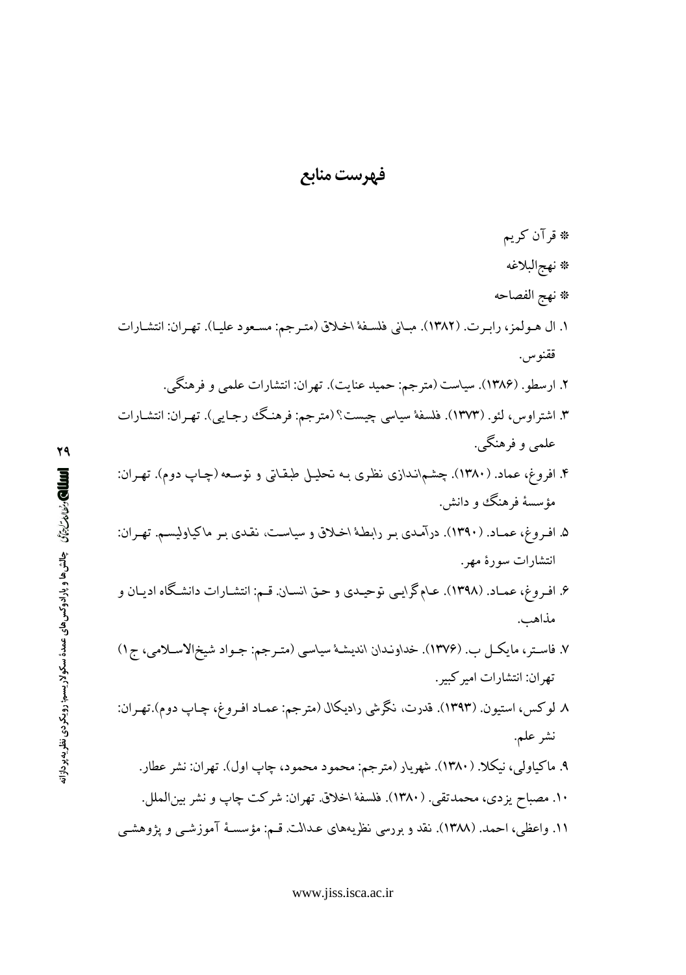# فه ست مناب*ع*

\* قرآن كريم # نهج|لبلاغه \* نهج الفصاحه ۱. ال هـولمز، رابـرت. (۱۳۸۲). مبـاني فلسـفهٔ اخـلاق (متـرجم: مسـعود عليـا). تهـران: انتشـارات ققنوس. ۲. ارسطو. (۱۳۸۶). سیاست (مترجم: حمید عنایت). تهران: انتشارات علمی و فرهنگی. ۳. اشتراوس، لئو. (۱۳۷۳). فلسفهٔ سیاسی چیست؟ (مترجم: فرهنگ رجـایی). تهـران: انتشـارات علمي و فرهنگې. ۴. افروغ، عماد. (۱۳۸۰). چشم\نـدازی نظری بـه تحلیـل طبقـاتی و توسـعه (چـاپ دوم). تهـران: مؤسسهٔ فرهنگ و دانش. ۵. افـروغ، عمـاد. (۱۳۹۰). درآمـدي بـر رابطـهٔ اخـلاق و سياسـت، نقـدي بـر ماكياوليسـم. تهـران: انتشارات سورهٔ مهر. ۶. افـروغ، عمـاد. (۱۳۹۸). عـامگرايـي نوحيـدي و حـق انسـان. قـم: انتشـارات دانشـگاه اديـان و مذاهب. ۷. فاسـتر، مايكـل ب. (۱۳۷۶). خداونـدان انديشـهٔ سياسـي (متـرجم: جـواد شيخالاسـلامي، ج۱) تهران: انتشارات امير كبير . ۸ لوکس، استیون. (۱۳۹۳). قدرت، نگرشی رادیکال (مترجم: عمـاد افـروغ، چـاپ دوم).تهـران: نشر علم. ۹. ماکیاولی<sub>،</sub>، نیکلا. (۱۳۸۰). شهریار (مترجم: محمود محمود، چاپ اول). تهران: نشر عطار. ۱۰. مصباح یزدی، محمدتقی<sub>.</sub> (۱۳۸۰). فلسفهٔ اخلاق تهران: شرکت چاپ و نشر بینالملل. ۱۱. واعظی، احمد. (۱۳۸۸). نقد و بررسی نظریههای عدالت. قـم: مؤسسـهٔ آموزشـی و پژوهشـی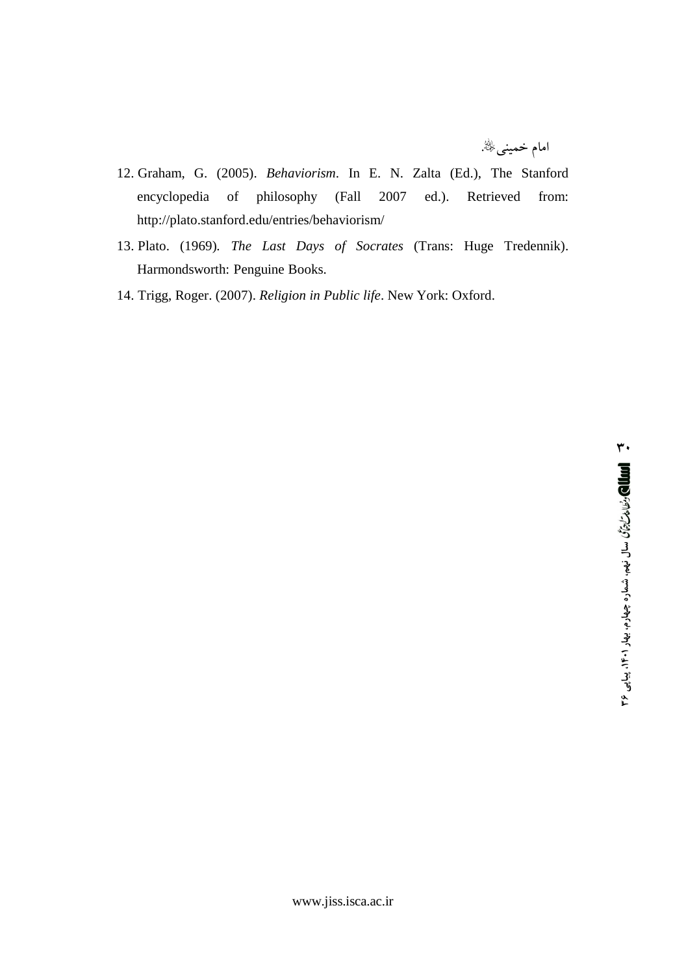امام خمینیﷺ.

- 12. Graham, G. (2005). Behaviorism. In E. N. Zalta (Ed.), The Stanford encyclopedia of philosophy (Fall 2007 ed.). Retrieved from: http://plato.stanford.edu/entries/behaviorism/
- 13. Plato. (1969). The Last Days of Socrates (Trans: Huge Tredennik). Harmondsworth: Penguine Books.
- 14. Trigg, Roger. (2007). Religion in Public life. New York: Oxford.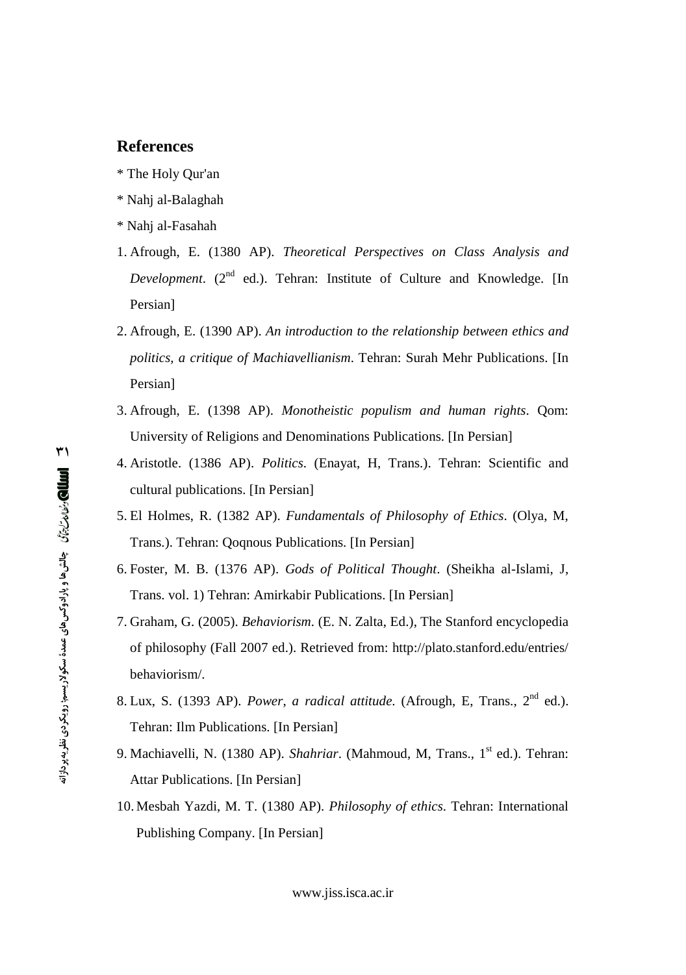- 
- \* Nahj al-Balaghah
- \* Nahj al-Fasahah
- 1. Afrough, E. (1380 AP). *Theoretical Perspectives on Class Analysis and* Development. (2<sup>nd</sup> ed.). Tehran: Institute of Culture and Knowledge. [In Persian]
- **References**<br>
\* The Holy Qur'an<br>
\* Nahj al-Balaghah<br>
\* Nahj al-Fasahah<br>
1. Afrough, E. (1380 AP)<br> *Development.* (2<sup>nd</sup> ed.).<br>
Persian]<br>
2. Afrough, E. (1390 AP). *A*<br> *politics, a critique of Ma*<br>
Persian]<br>
3. Afrough, E. 2. Afrough, E. (1390 AP). *An introduction to the relationship between ethics and politics, a critique of Machiavellianism*. Tehran: Surah Mehr Publications. [In Persian]
	- 3. Afrough, E. (1398 AP). *Monotheistic populism and human rights*. Qom: University of Religions and Denominations Publications. [In Persian]
	- 4. Aristotle. (1386 AP). *Politics*. (Enayat, H, Trans.). Tehran: Scientific and cultural publications. [In Persian]
	- 5. El Holmes, R. (1382 AP). *Fundamentals of Philosophy of Ethics*. (Olya, M, Trans.). Tehran: Qoqnous Publications. [In Persian]
	- 6. Foster, M. B. (1376 AP). *Gods of Political Thought*. (Sheikha al-Islami, J, Trans. vol. 1) Tehran: Amirkabir Publications. [In Persian]
	- 7. Graham, G. (2005). *Behaviorism*. (E. N. Zalta, Ed.), The Stanford encyclopedia of philosophy (Fall 2007 ed.). Retrieved from: <http://plato.stanford.edu/entries/> behaviorism/.
	- 8. Lux, S. (1393 AP). *Power, a radical attitude.* (Afrough, E, Trans., 2 nd ed.). Tehran: Ilm Publications. [In Persian]
	- 9. Machiavelli, N. (1380 AP). *Shahriar*. (Mahmoud, M, Trans., 1<sup>st</sup> ed.). Tehran: Attar Publications. [In Persian]
	- 10. Mesbah Yazdi, M. T. (1380 AP). *Philosophy of ethics*. Tehran: International Publishing Company. [In Persian]